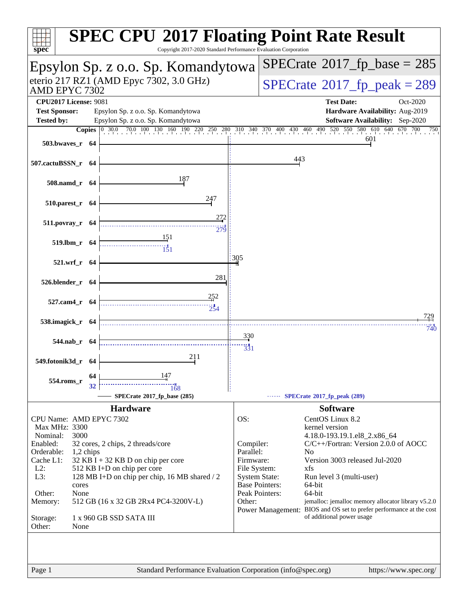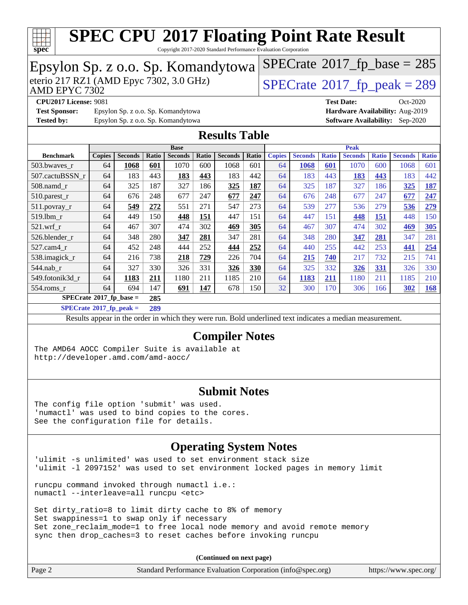

Copyright 2017-2020 Standard Performance Evaluation Corporation

| Epsylon Sp. z o.o. Sp. Komandytowa                                                                                                                                                                                                    |                                                                       |      |     |                                    |     | $SPECrate$ <sup>®</sup> 2017_fp_base = 285 |              |    |      |            |            |     |                                        |            |
|---------------------------------------------------------------------------------------------------------------------------------------------------------------------------------------------------------------------------------------|-----------------------------------------------------------------------|------|-----|------------------------------------|-----|--------------------------------------------|--------------|----|------|------------|------------|-----|----------------------------------------|------------|
| eterio 217 RZ1 (AMD Epyc 7302, 3.0 GHz)<br>$SPECrate@2017_fp\_peak = 289$<br>AMD EPYC 7302                                                                                                                                            |                                                                       |      |     |                                    |     |                                            |              |    |      |            |            |     |                                        |            |
|                                                                                                                                                                                                                                       | <b>CPU2017 License: 9081</b><br><b>Test Date:</b><br>Oct-2020         |      |     |                                    |     |                                            |              |    |      |            |            |     |                                        |            |
| <b>Test Sponsor:</b>                                                                                                                                                                                                                  | Hardware Availability: Aug-2019<br>Epsylon Sp. z o.o. Sp. Komandytowa |      |     |                                    |     |                                            |              |    |      |            |            |     |                                        |            |
| <b>Tested by:</b>                                                                                                                                                                                                                     |                                                                       |      |     | Epsylon Sp. z o.o. Sp. Komandytowa |     |                                            |              |    |      |            |            |     | <b>Software Availability:</b> Sep-2020 |            |
| <b>Results Table</b>                                                                                                                                                                                                                  |                                                                       |      |     |                                    |     |                                            |              |    |      |            |            |     |                                        |            |
| <b>Peak</b><br><b>Base</b><br><b>Seconds</b><br><b>Seconds</b><br><b>Seconds</b><br><b>Seconds</b><br><b>Seconds</b><br><b>Benchmark</b><br><b>Copies</b><br>Ratio<br>Ratio<br>Ratio<br><b>Copies</b><br><b>Ratio</b><br><b>Ratio</b> |                                                                       |      |     |                                    |     | <b>Seconds</b>                             | <b>Ratio</b> |    |      |            |            |     |                                        |            |
| 503.bwaves_r                                                                                                                                                                                                                          | 64                                                                    | 1068 | 601 | 1070                               | 600 | 1068                                       | 601          | 64 | 1068 | 601        | 1070       | 600 | 1068                                   | 601        |
| 507.cactuBSSN_r                                                                                                                                                                                                                       | 64                                                                    | 183  | 443 | 183                                | 443 | 183                                        | 442          | 64 | 183  | 443        | <b>183</b> | 443 | 183                                    | 442        |
| 508.namd r                                                                                                                                                                                                                            | 64                                                                    | 325  | 187 | 327                                | 186 | 325                                        | 187          | 64 | 325  | 187        | 327        | 186 | 325                                    | <b>187</b> |
| 510.parest_r                                                                                                                                                                                                                          | 64                                                                    | 676  | 248 | 677                                | 247 | 677                                        | 247          | 64 | 676  | 248        | 677        | 247 | 677                                    | 247        |
| 511.povray_r                                                                                                                                                                                                                          | 64                                                                    | 549  | 272 | 551                                | 271 | 547                                        | 273          | 64 | 539  | 277        | 536        | 279 | 536                                    | 279        |
| 519.1bm_r                                                                                                                                                                                                                             | 64                                                                    | 449  | 150 | 448                                | 151 | 447                                        | 151          | 64 | 447  | 151        | 448        | 151 | 448                                    | 150        |
| 521.wrf                                                                                                                                                                                                                               | 64                                                                    | 467  | 307 | 474                                | 302 | 469                                        | 305          | 64 | 467  | 307        | 474        | 302 | <u>469</u>                             | 305        |
| 526.blender_r                                                                                                                                                                                                                         | 64                                                                    | 348  | 280 | 347                                | 281 | 347                                        | 281          | 64 | 348  | 280        | 347        | 281 | 347                                    | 281        |
| 527.cam4_r                                                                                                                                                                                                                            | 64                                                                    | 452  | 248 | 444                                | 252 | 444                                        | 252          | 64 | 440  | 255        | 442        | 253 | 441                                    | 254        |
| 538.imagick_r                                                                                                                                                                                                                         | 64                                                                    | 216  | 738 | 218                                | 729 | 226                                        | 704          | 64 | 215  | <b>740</b> | 217        | 732 | 215                                    | 741        |
| 544.nab_r                                                                                                                                                                                                                             | 64                                                                    | 327  | 330 | 326                                | 331 | 326                                        | 330          | 64 | 325  | 332        | 326        | 331 | 326                                    | 330        |
| 549.fotonik3d_r                                                                                                                                                                                                                       | 64                                                                    | 1183 | 211 | 1180                               | 211 | 1185                                       | 210          | 64 | 1183 | <b>211</b> | 1180       | 211 | 1185                                   | 210        |
| $554$ .roms_r                                                                                                                                                                                                                         | 64                                                                    | 694  | 147 | 691                                | 147 | 678                                        | 150          | 32 | 300  | 170        | 306        | 166 | 302                                    | <b>168</b> |
| $\overline{\text{SPE}}$ Crate®2017_fp_base =                                                                                                                                                                                          |                                                                       |      | 285 |                                    |     |                                            |              |    |      |            |            |     |                                        |            |
| $SPECrate^*2017_fp\_peak =$<br>289                                                                                                                                                                                                    |                                                                       |      |     |                                    |     |                                            |              |    |      |            |            |     |                                        |            |
| Results appear in the order in which they were run. Bold underlined text indicates a median measurement.                                                                                                                              |                                                                       |      |     |                                    |     |                                            |              |    |      |            |            |     |                                        |            |
| <b>Compiler Notes</b>                                                                                                                                                                                                                 |                                                                       |      |     |                                    |     |                                            |              |    |      |            |            |     |                                        |            |
|                                                                                                                                                                                                                                       |                                                                       |      |     |                                    |     |                                            |              |    |      |            |            |     |                                        |            |
| The AMD64 AOCC Compiler Suite is available at<br>http://developer.amd.com/amd-aocc/                                                                                                                                                   |                                                                       |      |     |                                    |     |                                            |              |    |      |            |            |     |                                        |            |
|                                                                                                                                                                                                                                       |                                                                       |      |     |                                    |     |                                            |              |    |      |            |            |     |                                        |            |
|                                                                                                                                                                                                                                       |                                                                       |      |     |                                    |     |                                            |              |    |      |            |            |     |                                        |            |
|                                                                                                                                                                                                                                       |                                                                       |      |     |                                    |     | <b>Submit Notes</b>                        |              |    |      |            |            |     |                                        |            |
|                                                                                                                                                                                                                                       |                                                                       |      |     |                                    |     |                                            |              |    |      |            |            |     |                                        |            |
| The config file option 'submit' was used.                                                                                                                                                                                             |                                                                       |      |     |                                    |     |                                            |              |    |      |            |            |     |                                        |            |
| 'numactl' was used to bind copies to the cores.<br>See the configuration file for details.                                                                                                                                            |                                                                       |      |     |                                    |     |                                            |              |    |      |            |            |     |                                        |            |
|                                                                                                                                                                                                                                       |                                                                       |      |     |                                    |     |                                            |              |    |      |            |            |     |                                        |            |
|                                                                                                                                                                                                                                       |                                                                       |      |     |                                    |     | <b>Operating System Notes</b>              |              |    |      |            |            |     |                                        |            |
|                                                                                                                                                                                                                                       |                                                                       |      |     |                                    |     |                                            |              |    |      |            |            |     |                                        |            |
| 'ulimit -s unlimited' was used to set environment stack size<br>'ulimit -1 2097152' was used to set environment locked pages in memory limit                                                                                          |                                                                       |      |     |                                    |     |                                            |              |    |      |            |            |     |                                        |            |
| runcpu command invoked through numactl i.e.:<br>numactl --interleave=all runcpu <etc></etc>                                                                                                                                           |                                                                       |      |     |                                    |     |                                            |              |    |      |            |            |     |                                        |            |
| Set dirty_ratio=8 to limit dirty cache to 8% of memory<br>Set swappiness=1 to swap only if necessary                                                                                                                                  |                                                                       |      |     |                                    |     |                                            |              |    |      |            |            |     |                                        |            |
| Set zone_reclaim_mode=1 to free local node memory and avoid remote memory                                                                                                                                                             |                                                                       |      |     |                                    |     |                                            |              |    |      |            |            |     |                                        |            |

sync then drop\_caches=3 to reset caches before invoking runcpu

| Page 2 | Standard Performance Evaluation Corporation (info@spec.org) | https://www.spec.org/ |
|--------|-------------------------------------------------------------|-----------------------|
|--------|-------------------------------------------------------------|-----------------------|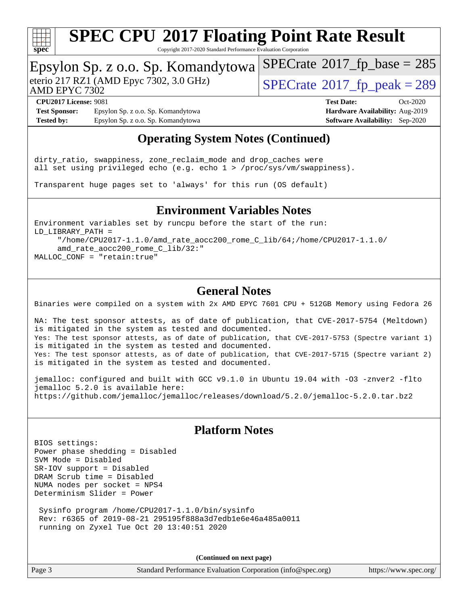

Copyright 2017-2020 Standard Performance Evaluation Corporation

### Epsylon Sp. z o.o. Sp. Komandytowa

AMD EPYC 7302

eterio 217 RZ1 (AMD Epyc 7302, 3.0 GHz)  $\sqrt{\text{SPECrate}^{\otimes}2017\_fp\_peak} = 289$  $\sqrt{\text{SPECrate}^{\otimes}2017\_fp\_peak} = 289$  $\sqrt{\text{SPECrate}^{\otimes}2017\_fp\_peak} = 289$ 

 $SPECTate@2017_fp\_base = 285$ 

**[Test Sponsor:](http://www.spec.org/auto/cpu2017/Docs/result-fields.html#TestSponsor)** Epsylon Sp. z o.o. Sp. Komandytowa **[Hardware Availability:](http://www.spec.org/auto/cpu2017/Docs/result-fields.html#HardwareAvailability)** Aug-2019 **[Tested by:](http://www.spec.org/auto/cpu2017/Docs/result-fields.html#Testedby)** Epsylon Sp. z o.o. Sp. Komandytowa **[Software Availability:](http://www.spec.org/auto/cpu2017/Docs/result-fields.html#SoftwareAvailability)** Sep-2020

**[CPU2017 License:](http://www.spec.org/auto/cpu2017/Docs/result-fields.html#CPU2017License)** 9081 **[Test Date:](http://www.spec.org/auto/cpu2017/Docs/result-fields.html#TestDate)** Oct-2020

### **[Operating System Notes \(Continued\)](http://www.spec.org/auto/cpu2017/Docs/result-fields.html#OperatingSystemNotes)**

dirty\_ratio, swappiness, zone\_reclaim\_mode and drop\_caches were all set using privileged echo (e.g. echo 1 > /proc/sys/vm/swappiness).

Transparent huge pages set to 'always' for this run (OS default)

### **[Environment Variables Notes](http://www.spec.org/auto/cpu2017/Docs/result-fields.html#EnvironmentVariablesNotes)**

Environment variables set by runcpu before the start of the run: LD\_LIBRARY\_PATH = "/home/CPU2017-1.1.0/amd\_rate\_aocc200\_rome\_C\_lib/64;/home/CPU2017-1.1.0/ amd\_rate\_aocc200\_rome\_C\_lib/32:" MALLOC\_CONF = "retain:true"

### **[General Notes](http://www.spec.org/auto/cpu2017/Docs/result-fields.html#GeneralNotes)**

Binaries were compiled on a system with 2x AMD EPYC 7601 CPU + 512GB Memory using Fedora 26

NA: The test sponsor attests, as of date of publication, that CVE-2017-5754 (Meltdown) is mitigated in the system as tested and documented. Yes: The test sponsor attests, as of date of publication, that CVE-2017-5753 (Spectre variant 1) is mitigated in the system as tested and documented. Yes: The test sponsor attests, as of date of publication, that CVE-2017-5715 (Spectre variant 2) is mitigated in the system as tested and documented.

jemalloc: configured and built with GCC v9.1.0 in Ubuntu 19.04 with -O3 -znver2 -flto jemalloc 5.2.0 is available here: <https://github.com/jemalloc/jemalloc/releases/download/5.2.0/jemalloc-5.2.0.tar.bz2>

### **[Platform Notes](http://www.spec.org/auto/cpu2017/Docs/result-fields.html#PlatformNotes)**

BIOS settings: Power phase shedding = Disabled SVM Mode = Disabled SR-IOV support = Disabled DRAM Scrub time = Disabled NUMA nodes per socket = NPS4 Determinism Slider = Power

 Sysinfo program /home/CPU2017-1.1.0/bin/sysinfo Rev: r6365 of 2019-08-21 295195f888a3d7edb1e6e46a485a0011 running on Zyxel Tue Oct 20 13:40:51 2020

**(Continued on next page)**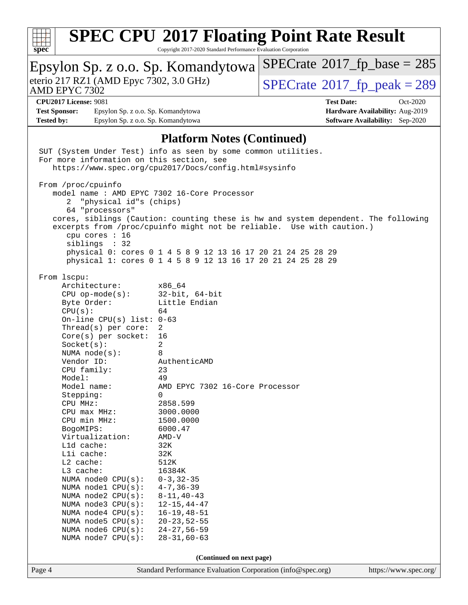

Copyright 2017-2020 Standard Performance Evaluation Corporation

#### Page 4 Standard Performance Evaluation Corporation [\(info@spec.org\)](mailto:info@spec.org) <https://www.spec.org/> Epsylon Sp. z o.o. Sp. Komandytowa AMD EPYC 7302 eterio 217 RZ1 (AMD Epyc 7302, 3.0 GHz)  $\boxed{\text{SPECrate}^{\circ}2017\_fp\_peak = 289}$  $\boxed{\text{SPECrate}^{\circ}2017\_fp\_peak = 289}$  $\boxed{\text{SPECrate}^{\circ}2017\_fp\_peak = 289}$  $SPECTate@2017_fp\_base = 285$ **[CPU2017 License:](http://www.spec.org/auto/cpu2017/Docs/result-fields.html#CPU2017License)** 9081 **[Test Date:](http://www.spec.org/auto/cpu2017/Docs/result-fields.html#TestDate)** Oct-2020 **[Test Sponsor:](http://www.spec.org/auto/cpu2017/Docs/result-fields.html#TestSponsor)** Epsylon Sp. z o.o. Sp. Komandytowa **[Hardware Availability:](http://www.spec.org/auto/cpu2017/Docs/result-fields.html#HardwareAvailability)** Aug-2019 **[Tested by:](http://www.spec.org/auto/cpu2017/Docs/result-fields.html#Testedby)** Epsylon Sp. z o.o. Sp. Komandytowa **[Software Availability:](http://www.spec.org/auto/cpu2017/Docs/result-fields.html#SoftwareAvailability)** Sep-2020 **[Platform Notes \(Continued\)](http://www.spec.org/auto/cpu2017/Docs/result-fields.html#PlatformNotes)** SUT (System Under Test) info as seen by some common utilities. For more information on this section, see <https://www.spec.org/cpu2017/Docs/config.html#sysinfo> From /proc/cpuinfo model name : AMD EPYC 7302 16-Core Processor 2 "physical id"s (chips) 64 "processors" cores, siblings (Caution: counting these is hw and system dependent. The following excerpts from /proc/cpuinfo might not be reliable. Use with caution.) cpu cores : 16 siblings : 32 physical 0: cores 0 1 4 5 8 9 12 13 16 17 20 21 24 25 28 29 physical 1: cores 0 1 4 5 8 9 12 13 16 17 20 21 24 25 28 29 From lscpu: Architecture: x86\_64 CPU op-mode(s): 32-bit, 64-bit Byte Order: Little Endian CPU(s): 64 On-line CPU(s) list: 0-63 Thread(s) per core: 2 Core(s) per socket: 16 Socket(s): 2 NUMA node(s): 8<br>Vendor ID: 8 AuthenticAMD CPU family: 23 Model: 49 Model name: AMD EPYC 7302 16-Core Processor Stepping: 0 CPU MHz: 2858.599<br>
CPU max MHz: 3000.0000  $CPU$   $max$   $MHz$ : CPU min MHz: 1500.0000 BogoMIPS: 6000.47 Virtualization: AMD-V L1d cache: 32K L1i cache: 32K L2 cache: 512K L3 cache: 16384K NUMA node0 CPU(s): 0-3,32-35 NUMA node1 CPU(s): 4-7,36-39 NUMA node2 CPU(s): 8-11,40-43 NUMA node3 CPU(s): 12-15,44-47 NUMA node4 CPU(s): 16-19,48-51 NUMA node5 CPU(s): 20-23,52-55 NUMA node6 CPU(s): 24-27,56-59 NUMA node7 CPU(s): 28-31,60-63 **(Continued on next page)**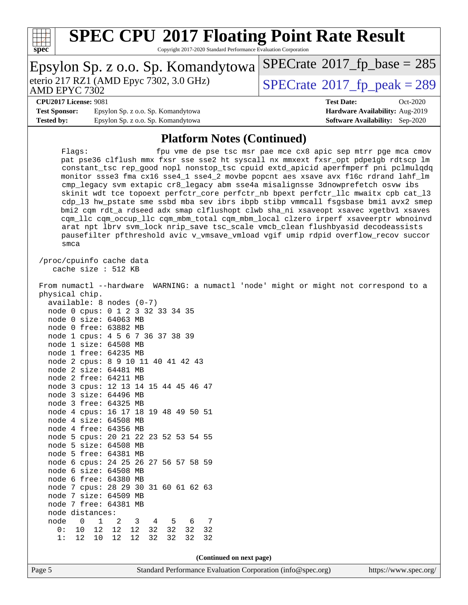

Copyright 2017-2020 Standard Performance Evaluation Corporation

| Epsylon Sp. z o.o. Sp. Komandytowa                         | $SPECrate^{\circ}2017$ fp base = 285        |
|------------------------------------------------------------|---------------------------------------------|
| eterio 217 RZ1 (AMD Epyc 7302, 3.0 GHz)<br>AMD EPYC 7302   | $SPECrate^{\circledcirc}2017$ fp peak = 289 |
| <b>CPU2017 License: 9081</b>                               | <b>Test Date:</b><br>$Oct-2020$             |
| Epsylon Sp. z o.o. Sp. Komandytowa<br><b>Test Sponsor:</b> | Hardware Availability: Aug-2019             |
| Epsylon Sp. z o.o. Sp. Komandytowa<br><b>Tested by:</b>    | <b>Software Availability:</b> Sep-2020      |

### **[Platform Notes \(Continued\)](http://www.spec.org/auto/cpu2017/Docs/result-fields.html#PlatformNotes)**

Flags: fpu vme de pse tsc msr pae mce cx8 apic sep mtrr pge mca cmov pat pse36 clflush mmx fxsr sse sse2 ht syscall nx mmxext fxsr\_opt pdpe1gb rdtscp lm constant\_tsc rep\_good nopl nonstop\_tsc cpuid extd\_apicid aperfmperf pni pclmulqdq monitor ssse3 fma cx16 sse4\_1 sse4\_2 movbe popcnt aes xsave avx f16c rdrand lahf\_lm cmp\_legacy svm extapic cr8\_legacy abm sse4a misalignsse 3dnowprefetch osvw ibs skinit wdt tce topoext perfctr\_core perfctr\_nb bpext perfctr\_llc mwaitx cpb cat\_l3 cdp\_l3 hw\_pstate sme ssbd mba sev ibrs ibpb stibp vmmcall fsgsbase bmi1 avx2 smep bmi2 cqm rdt\_a rdseed adx smap clflushopt clwb sha\_ni xsaveopt xsavec xgetbv1 xsaves cqm\_llc cqm\_occup\_llc cqm\_mbm\_total cqm\_mbm\_local clzero irperf xsaveerptr wbnoinvd arat npt lbrv svm\_lock nrip\_save tsc\_scale vmcb\_clean flushbyasid decodeassists pausefilter pfthreshold avic v\_vmsave\_vmload vgif umip rdpid overflow\_recov succor smca

 /proc/cpuinfo cache data cache size : 512 KB

 From numactl --hardware WARNING: a numactl 'node' might or might not correspond to a physical chip. available: 8 nodes (0-7)

| node 0 cpus: 0 1 2 3 32 33 34 35     |    |    |                  |    |       |     |    |
|--------------------------------------|----|----|------------------|----|-------|-----|----|
| node                                 |    |    | 0 size: 64063 MB |    |       |     |    |
| node 0 free: 63882 MB                |    |    |                  |    |       |     |    |
| node 1 cpus: 4 5 6 7 36 37 38 39     |    |    |                  |    |       |     |    |
| node 1 size: 64508 MB                |    |    |                  |    |       |     |    |
| node 1 free: 64235 MB                |    |    |                  |    |       |     |    |
| node 2 cpus: 8 9 10 11 40 41 42 43   |    |    |                  |    |       |     |    |
| node 2 size: 64481 MB                |    |    |                  |    |       |     |    |
| node 2 free: 64211 MB                |    |    |                  |    |       |     |    |
| node 3 cpus: 12 13 14 15 44 45 46 47 |    |    |                  |    |       |     |    |
| node 3 size: 64496 MB                |    |    |                  |    |       |     |    |
| node 3 free: 64325 MB                |    |    |                  |    |       |     |    |
| node 4 cpus: 16 17 18 19 48 49 50 51 |    |    |                  |    |       |     |    |
| node                                 |    |    | 4 size: 64508 MB |    |       |     |    |
| node 4 free: 64356 MB                |    |    |                  |    |       |     |    |
| node 5 cpus: 20 21 22 23 52 53 54 55 |    |    |                  |    |       |     |    |
| node 5 size: 64508 MB                |    |    |                  |    |       |     |    |
| node 5 free: 64381 MB                |    |    |                  |    |       |     |    |
| node 6 cpus: 24 25 26 27 56 57 58 59 |    |    |                  |    |       |     |    |
| node 6 size: 64508 MB                |    |    |                  |    |       |     |    |
| node                                 |    |    | 6 free: 64380 MB |    |       |     |    |
| node 7 cpus: 28 29 30 31 60 61 62 63 |    |    |                  |    |       |     |    |
| node 7 size: 64509 MB                |    |    |                  |    |       |     |    |
| node                                 |    |    | 7 free: 64381    | MB |       |     |    |
| node distances:                      |    |    |                  |    |       |     |    |
| node                                 | 0  |    | 1 2 3 4 5        |    |       | 6 7 |    |
| 0:                                   | 10 |    | 12 12 12 32 32   |    |       | 32  | 32 |
| 1:                                   | 12 | 10 | 12               | 12 | 32 32 | 32  | 32 |
|                                      |    |    |                  |    |       |     |    |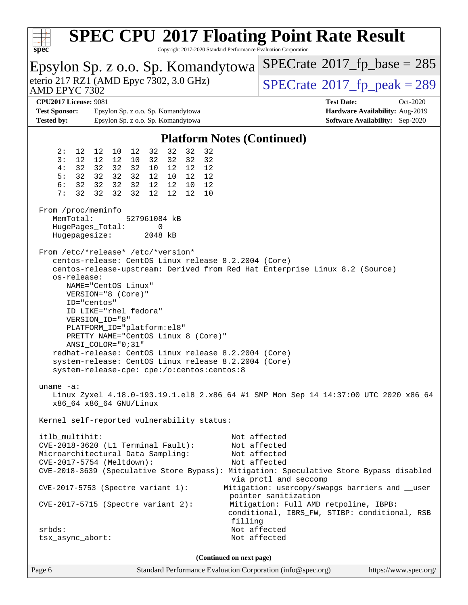| <b>SPEC CPU®2017 Floating Point Rate Result</b><br>Copyright 2017-2020 Standard Performance Evaluation Corporation<br>spec <sup>®</sup>                                                                                                                                                                                                                                                                                                                                                                                                                 |                                                                                                                                                                                                                                                            |  |  |  |  |  |  |
|---------------------------------------------------------------------------------------------------------------------------------------------------------------------------------------------------------------------------------------------------------------------------------------------------------------------------------------------------------------------------------------------------------------------------------------------------------------------------------------------------------------------------------------------------------|------------------------------------------------------------------------------------------------------------------------------------------------------------------------------------------------------------------------------------------------------------|--|--|--|--|--|--|
| Epsylon Sp. z o.o. Sp. Komandytowa                                                                                                                                                                                                                                                                                                                                                                                                                                                                                                                      | $SPECrate^{\circ}2017$ _fp_base = 285                                                                                                                                                                                                                      |  |  |  |  |  |  |
| eterio 217 RZ1 (AMD Epyc 7302, 3.0 GHz)<br>AMD EPYC 7302                                                                                                                                                                                                                                                                                                                                                                                                                                                                                                | $SPECTate@2017_fp\_peak = 289$                                                                                                                                                                                                                             |  |  |  |  |  |  |
| <b>CPU2017 License: 9081</b>                                                                                                                                                                                                                                                                                                                                                                                                                                                                                                                            | <b>Test Date:</b><br>Oct-2020                                                                                                                                                                                                                              |  |  |  |  |  |  |
| <b>Test Sponsor:</b><br>Epsylon Sp. z o.o. Sp. Komandytowa<br><b>Tested by:</b><br>Epsylon Sp. z o.o. Sp. Komandytowa                                                                                                                                                                                                                                                                                                                                                                                                                                   | Hardware Availability: Aug-2019<br><b>Software Availability:</b> Sep-2020                                                                                                                                                                                  |  |  |  |  |  |  |
|                                                                                                                                                                                                                                                                                                                                                                                                                                                                                                                                                         |                                                                                                                                                                                                                                                            |  |  |  |  |  |  |
| <b>Platform Notes (Continued)</b>                                                                                                                                                                                                                                                                                                                                                                                                                                                                                                                       |                                                                                                                                                                                                                                                            |  |  |  |  |  |  |
| 32<br>32<br>2:<br>32<br>12<br>12<br>10<br>12<br>32<br>12<br>12<br>32<br>3:<br>12 <sup>°</sup><br>32<br>32<br>32<br>10<br>32<br>32<br>32<br>32<br>10<br>12<br>12<br>4 :<br>12<br>5:<br>32<br>32<br>32<br>32<br>12<br>12<br>10<br>12<br>32<br>32<br>32<br>12<br>6 :<br>32<br>12<br>10<br>12<br>32<br>7 :<br>32<br>32<br>32<br>12<br>12<br>12<br>10                                                                                                                                                                                                        |                                                                                                                                                                                                                                                            |  |  |  |  |  |  |
| From /proc/meminfo<br>MemTotal:<br>527961084 kB<br>HugePages_Total:<br>0<br>Hugepagesize:<br>2048 kB                                                                                                                                                                                                                                                                                                                                                                                                                                                    |                                                                                                                                                                                                                                                            |  |  |  |  |  |  |
| From /etc/*release* /etc/*version*<br>centos-release: CentOS Linux release 8.2.2004 (Core)<br>centos-release-upstream: Derived from Red Hat Enterprise Linux 8.2 (Source)<br>os-release:<br>NAME="CentOS Linux"<br>VERSION="8 (Core)"<br>ID="centos"<br>ID LIKE="rhel fedora"<br>VERSION_ID="8"<br>PLATFORM_ID="platform:el8"<br>PRETTY_NAME="CentOS Linux 8 (Core)"<br>ANSI_COLOR="0;31"<br>redhat-release: CentOS Linux release 8.2.2004 (Core)<br>system-release: CentOS Linux release 8.2.2004 (Core)<br>system-release-cpe: cpe:/o:centos:centos:8 |                                                                                                                                                                                                                                                            |  |  |  |  |  |  |
| $uname -a$ :<br>Linux Zyxel 4.18.0-193.19.1.el8_2.x86_64 #1 SMP Mon Sep 14 14:37:00 UTC 2020 x86_64<br>x86_64 x86_64 GNU/Linux<br>Kernel self-reported vulnerability status:                                                                                                                                                                                                                                                                                                                                                                            |                                                                                                                                                                                                                                                            |  |  |  |  |  |  |
| itlb_multihit:<br>$CVE-2018-3620$ (L1 Terminal Fault):<br>Microarchitectural Data Sampling:<br>CVE-2017-5754 (Meltdown):<br>CVE-2018-3639 (Speculative Store Bypass): Mitigation: Speculative Store Bypass disabled<br>$CVE-2017-5753$ (Spectre variant 1):<br>$CVE-2017-5715$ (Spectre variant 2):<br>filling<br>$srbds$ :<br>Not affected<br>Not affected<br>tsx_async_abort:                                                                                                                                                                         | Not affected<br>Not affected<br>Not affected<br>Not affected<br>via prctl and seccomp<br>Mitigation: usercopy/swapgs barriers and __user<br>pointer sanitization<br>Mitigation: Full AMD retpoline, IBPB:<br>conditional, IBRS_FW, STIBP: conditional, RSB |  |  |  |  |  |  |
| (Continued on next page)                                                                                                                                                                                                                                                                                                                                                                                                                                                                                                                                |                                                                                                                                                                                                                                                            |  |  |  |  |  |  |

Page 6 Standard Performance Evaluation Corporation [\(info@spec.org\)](mailto:info@spec.org) <https://www.spec.org/>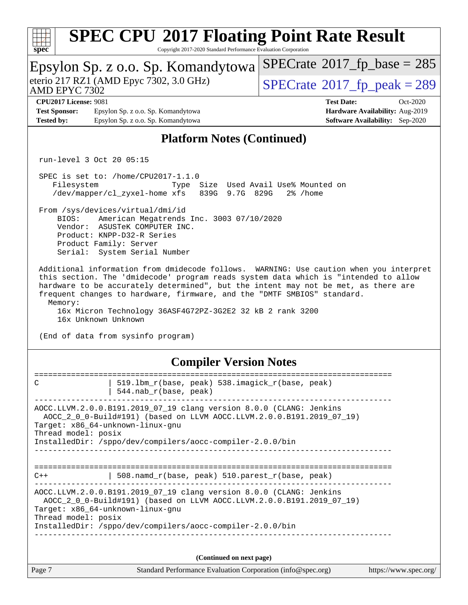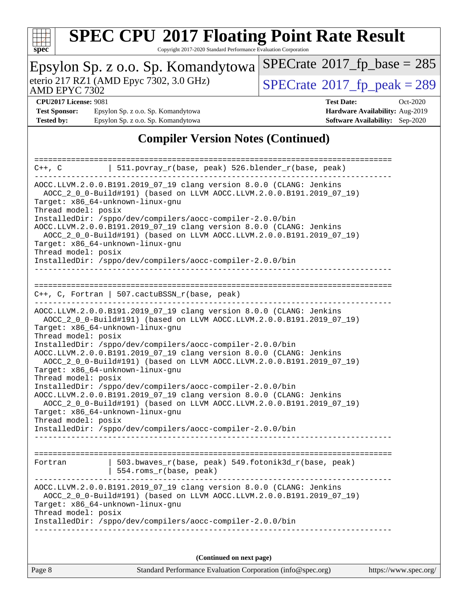

Copyright 2017-2020 Standard Performance Evaluation Corporation

| Epsylon Sp. z o.o. Sp. Komandytowa                                                                                                           | $SPECrate^{\circ}2017$ fp base = 285   |  |  |  |  |  |
|----------------------------------------------------------------------------------------------------------------------------------------------|----------------------------------------|--|--|--|--|--|
| eterio 217 RZ1 (AMD Epyc 7302, 3.0 GHz)<br>AMD EPYC 7302                                                                                     | $SPECrate@2017_fp\_peak = 289$         |  |  |  |  |  |
| <b>CPU2017 License: 9081</b>                                                                                                                 | <b>Test Date:</b><br>Oct-2020          |  |  |  |  |  |
|                                                                                                                                              |                                        |  |  |  |  |  |
| <b>Test Sponsor:</b><br>Epsylon Sp. z o.o. Sp. Komandytowa                                                                                   | Hardware Availability: Aug-2019        |  |  |  |  |  |
| Epsylon Sp. z o.o. Sp. Komandytowa<br><b>Tested by:</b>                                                                                      | <b>Software Availability:</b> Sep-2020 |  |  |  |  |  |
|                                                                                                                                              |                                        |  |  |  |  |  |
| <b>Compiler Version Notes (Continued)</b>                                                                                                    |                                        |  |  |  |  |  |
|                                                                                                                                              |                                        |  |  |  |  |  |
| $511.povray_r(base, peak) 526.blender_r(base, peak)$<br>C++, C                                                                               |                                        |  |  |  |  |  |
|                                                                                                                                              |                                        |  |  |  |  |  |
| AOCC.LLVM.2.0.0.B191.2019_07_19 clang version 8.0.0 (CLANG: Jenkins                                                                          |                                        |  |  |  |  |  |
| AOCC_2_0_0-Build#191) (based on LLVM AOCC.LLVM.2.0.0.B191.2019_07_19)                                                                        |                                        |  |  |  |  |  |
| Target: x86_64-unknown-linux-gnu                                                                                                             |                                        |  |  |  |  |  |
|                                                                                                                                              |                                        |  |  |  |  |  |
| Thread model: posix                                                                                                                          |                                        |  |  |  |  |  |
| InstalledDir: /sppo/dev/compilers/aocc-compiler-2.0.0/bin                                                                                    |                                        |  |  |  |  |  |
| AOCC.LLVM.2.0.0.B191.2019_07_19 clang version 8.0.0 (CLANG: Jenkins                                                                          |                                        |  |  |  |  |  |
| AOCC_2_0_0-Build#191) (based on LLVM AOCC.LLVM.2.0.0.B191.2019_07_19)                                                                        |                                        |  |  |  |  |  |
| Target: x86_64-unknown-linux-gnu                                                                                                             |                                        |  |  |  |  |  |
| Thread model: posix                                                                                                                          |                                        |  |  |  |  |  |
| InstalledDir: /sppo/dev/compilers/aocc-compiler-2.0.0/bin                                                                                    |                                        |  |  |  |  |  |
|                                                                                                                                              |                                        |  |  |  |  |  |
|                                                                                                                                              |                                        |  |  |  |  |  |
|                                                                                                                                              |                                        |  |  |  |  |  |
|                                                                                                                                              |                                        |  |  |  |  |  |
| $C++$ , C, Fortran   507.cactuBSSN_r(base, peak)                                                                                             |                                        |  |  |  |  |  |
|                                                                                                                                              |                                        |  |  |  |  |  |
| AOCC.LLVM.2.0.0.B191.2019_07_19 clang version 8.0.0 (CLANG: Jenkins                                                                          |                                        |  |  |  |  |  |
| AOCC_2_0_0-Build#191) (based on LLVM AOCC.LLVM.2.0.0.B191.2019_07_19)                                                                        |                                        |  |  |  |  |  |
| Target: x86_64-unknown-linux-gnu                                                                                                             |                                        |  |  |  |  |  |
| Thread model: posix                                                                                                                          |                                        |  |  |  |  |  |
| InstalledDir: /sppo/dev/compilers/aocc-compiler-2.0.0/bin                                                                                    |                                        |  |  |  |  |  |
|                                                                                                                                              |                                        |  |  |  |  |  |
| AOCC.LLVM.2.0.0.B191.2019_07_19 clang version 8.0.0 (CLANG: Jenkins<br>AOCC_2_0_0-Build#191) (based on LLVM AOCC.LLVM.2.0.0.B191.2019_07_19) |                                        |  |  |  |  |  |
|                                                                                                                                              |                                        |  |  |  |  |  |
| Target: x86_64-unknown-linux-gnu                                                                                                             |                                        |  |  |  |  |  |
| Thread model: posix                                                                                                                          |                                        |  |  |  |  |  |
| InstalledDir: /sppo/dev/compilers/aocc-compiler-2.0.0/bin                                                                                    |                                        |  |  |  |  |  |
| AOCC.LLVM.2.0.0.B191.2019_07_19 clang version 8.0.0 (CLANG: Jenkins                                                                          |                                        |  |  |  |  |  |
| AOCC_2_0_0-Build#191) (based on LLVM AOCC.LLVM.2.0.0.B191.2019_07_19)                                                                        |                                        |  |  |  |  |  |
| Target: x86_64-unknown-linux-gnu                                                                                                             |                                        |  |  |  |  |  |
| Thread model: posix                                                                                                                          |                                        |  |  |  |  |  |
| InstalledDir: /sppo/dev/compilers/aocc-compiler-2.0.0/bin                                                                                    |                                        |  |  |  |  |  |
|                                                                                                                                              |                                        |  |  |  |  |  |
|                                                                                                                                              |                                        |  |  |  |  |  |
|                                                                                                                                              |                                        |  |  |  |  |  |
| 503.bwaves_r(base, peak) 549.fotonik3d_r(base, peak)<br>Fortran                                                                              |                                        |  |  |  |  |  |
| 554.roms_r(base, peak)                                                                                                                       |                                        |  |  |  |  |  |
|                                                                                                                                              |                                        |  |  |  |  |  |
| AOCC.LLVM.2.0.0.B191.2019_07_19 clang version 8.0.0 (CLANG: Jenkins                                                                          |                                        |  |  |  |  |  |
|                                                                                                                                              |                                        |  |  |  |  |  |
| AOCC_2_0_0-Build#191) (based on LLVM AOCC.LLVM.2.0.0.B191.2019_07_19)                                                                        |                                        |  |  |  |  |  |
| Target: x86_64-unknown-linux-gnu                                                                                                             |                                        |  |  |  |  |  |
| Thread model: posix                                                                                                                          |                                        |  |  |  |  |  |
| InstalledDir: /sppo/dev/compilers/aocc-compiler-2.0.0/bin                                                                                    |                                        |  |  |  |  |  |
|                                                                                                                                              |                                        |  |  |  |  |  |
|                                                                                                                                              |                                        |  |  |  |  |  |
|                                                                                                                                              |                                        |  |  |  |  |  |
| (Continued on next page)                                                                                                                     |                                        |  |  |  |  |  |
| Page 8<br>Standard Performance Evaluation Corporation (info@spec.org)                                                                        | https://www.spec.org/                  |  |  |  |  |  |
|                                                                                                                                              |                                        |  |  |  |  |  |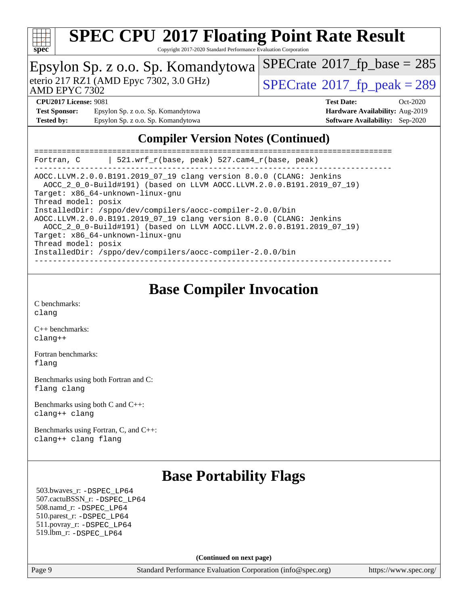

Copyright 2017-2020 Standard Performance Evaluation Corporation

|                              |                                                                                | Epsylon Sp. z o.o. Sp. Komandytowa SPECrate®2017_fp_base = 285 |                                        |            |  |  |
|------------------------------|--------------------------------------------------------------------------------|----------------------------------------------------------------|----------------------------------------|------------|--|--|
| <b>AMD EPYC 7302</b>         | eterio 217 RZ1 (AMD Epyc 7302, 3.0 GHz)                                        | $SPECrate^{\circledcirc}2017$ fp peak = 289                    |                                        |            |  |  |
| <b>CPU2017 License: 9081</b> |                                                                                | <b>Test Date:</b>                                              |                                        | $Oct-2020$ |  |  |
| <b>Test Sponsor:</b>         | Epsylon Sp. z o.o. Sp. Komandytowa                                             |                                                                | Hardware Availability: Aug-2019        |            |  |  |
| <b>Tested by:</b>            | Epsylon Sp. z o.o. Sp. Komandytowa                                             |                                                                | <b>Software Availability:</b> Sep-2020 |            |  |  |
|                              | $\Omega$ is the state of $\mathbf{M}$ in $\Omega$ is the state of $\mathbf{N}$ |                                                                |                                        |            |  |  |

### **[Compiler Version Notes \(Continued\)](http://www.spec.org/auto/cpu2017/Docs/result-fields.html#CompilerVersionNotes)**

| 521.wrf $r(base, peak)$ 527.cam4 $r(base, peak)$<br>Fortran, C                                                                                                                                                                   |
|----------------------------------------------------------------------------------------------------------------------------------------------------------------------------------------------------------------------------------|
| AOCC.LLVM.2.0.0.B191.2019 07 19 clang version 8.0.0 (CLANG: Jenkins<br>AOCC_2_0_0-Build#191) (based on LLVM AOCC.LLVM.2.0.0.B191.2019_07_19)<br>Target: x86 64-unknown-linux-gnu                                                 |
| Thread model: posix<br>InstalledDir: /sppo/dev/compilers/aocc-compiler-2.0.0/bin<br>AOCC.LLVM.2.0.0.B191.2019 07 19 clang version 8.0.0 (CLANG: Jenkins<br>AOCC_2_0_0-Build#191) (based on LLVM AOCC.LLVM.2.0.0.B191.2019_07_19) |
| Target: x86_64-unknown-linux-qnu<br>Thread model: posix<br>InstalledDir: /sppo/dev/compilers/aocc-compiler-2.0.0/bin                                                                                                             |

### **[Base Compiler Invocation](http://www.spec.org/auto/cpu2017/Docs/result-fields.html#BaseCompilerInvocation)**

[C benchmarks](http://www.spec.org/auto/cpu2017/Docs/result-fields.html#Cbenchmarks): [clang](http://www.spec.org/cpu2017/results/res2020q4/cpu2017-20201026-24260.flags.html#user_CCbase_clang-c)

[C++ benchmarks:](http://www.spec.org/auto/cpu2017/Docs/result-fields.html#CXXbenchmarks) [clang++](http://www.spec.org/cpu2017/results/res2020q4/cpu2017-20201026-24260.flags.html#user_CXXbase_clang-cpp)

[Fortran benchmarks](http://www.spec.org/auto/cpu2017/Docs/result-fields.html#Fortranbenchmarks): [flang](http://www.spec.org/cpu2017/results/res2020q4/cpu2017-20201026-24260.flags.html#user_FCbase_flang)

[Benchmarks using both Fortran and C](http://www.spec.org/auto/cpu2017/Docs/result-fields.html#BenchmarksusingbothFortranandC): [flang](http://www.spec.org/cpu2017/results/res2020q4/cpu2017-20201026-24260.flags.html#user_CC_FCbase_flang) [clang](http://www.spec.org/cpu2017/results/res2020q4/cpu2017-20201026-24260.flags.html#user_CC_FCbase_clang-c)

[Benchmarks using both C and C++](http://www.spec.org/auto/cpu2017/Docs/result-fields.html#BenchmarksusingbothCandCXX): [clang++](http://www.spec.org/cpu2017/results/res2020q4/cpu2017-20201026-24260.flags.html#user_CC_CXXbase_clang-cpp) [clang](http://www.spec.org/cpu2017/results/res2020q4/cpu2017-20201026-24260.flags.html#user_CC_CXXbase_clang-c)

[Benchmarks using Fortran, C, and C++:](http://www.spec.org/auto/cpu2017/Docs/result-fields.html#BenchmarksusingFortranCandCXX) [clang++](http://www.spec.org/cpu2017/results/res2020q4/cpu2017-20201026-24260.flags.html#user_CC_CXX_FCbase_clang-cpp) [clang](http://www.spec.org/cpu2017/results/res2020q4/cpu2017-20201026-24260.flags.html#user_CC_CXX_FCbase_clang-c) [flang](http://www.spec.org/cpu2017/results/res2020q4/cpu2017-20201026-24260.flags.html#user_CC_CXX_FCbase_flang)

### **[Base Portability Flags](http://www.spec.org/auto/cpu2017/Docs/result-fields.html#BasePortabilityFlags)**

 503.bwaves\_r: [-DSPEC\\_LP64](http://www.spec.org/cpu2017/results/res2020q4/cpu2017-20201026-24260.flags.html#suite_baseEXTRA_PORTABILITY503_bwaves_r_DSPEC_LP64) 507.cactuBSSN\_r: [-DSPEC\\_LP64](http://www.spec.org/cpu2017/results/res2020q4/cpu2017-20201026-24260.flags.html#suite_baseEXTRA_PORTABILITY507_cactuBSSN_r_DSPEC_LP64) 508.namd\_r: [-DSPEC\\_LP64](http://www.spec.org/cpu2017/results/res2020q4/cpu2017-20201026-24260.flags.html#suite_baseEXTRA_PORTABILITY508_namd_r_DSPEC_LP64) 510.parest\_r: [-DSPEC\\_LP64](http://www.spec.org/cpu2017/results/res2020q4/cpu2017-20201026-24260.flags.html#suite_baseEXTRA_PORTABILITY510_parest_r_DSPEC_LP64) 511.povray\_r: [-DSPEC\\_LP64](http://www.spec.org/cpu2017/results/res2020q4/cpu2017-20201026-24260.flags.html#suite_baseEXTRA_PORTABILITY511_povray_r_DSPEC_LP64) 519.lbm\_r: [-DSPEC\\_LP64](http://www.spec.org/cpu2017/results/res2020q4/cpu2017-20201026-24260.flags.html#suite_baseEXTRA_PORTABILITY519_lbm_r_DSPEC_LP64)

**(Continued on next page)**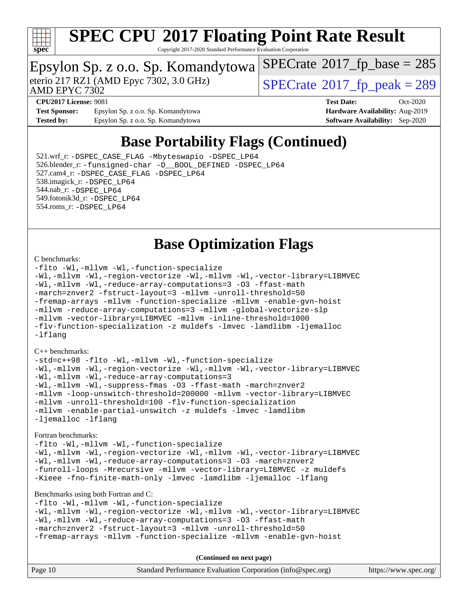

Copyright 2017-2020 Standard Performance Evaluation Corporation

### Epsylon Sp. z o.o. Sp. Komandytowa

AMD EPYC 7302

eterio 217 RZ1 (AMD Epyc 7302, 3.0 GHz)  $\boxed{\text{SPECrate}^{\circ}2017\_fp\_peak = 289}$  $\boxed{\text{SPECrate}^{\circ}2017\_fp\_peak = 289}$  $\boxed{\text{SPECrate}^{\circ}2017\_fp\_peak = 289}$ 

 $SPECrate$ <sup>®</sup>[2017\\_fp\\_base =](http://www.spec.org/auto/cpu2017/Docs/result-fields.html#SPECrate2017fpbase) 285

**[Test Sponsor:](http://www.spec.org/auto/cpu2017/Docs/result-fields.html#TestSponsor)** Epsylon Sp. z o.o. Sp. Komandytowa **[Hardware Availability:](http://www.spec.org/auto/cpu2017/Docs/result-fields.html#HardwareAvailability)** Aug-2019 **[Tested by:](http://www.spec.org/auto/cpu2017/Docs/result-fields.html#Testedby)** Epsylon Sp. z o.o. Sp. Komandytowa **[Software Availability:](http://www.spec.org/auto/cpu2017/Docs/result-fields.html#SoftwareAvailability)** Sep-2020

**[CPU2017 License:](http://www.spec.org/auto/cpu2017/Docs/result-fields.html#CPU2017License)** 9081 **[Test Date:](http://www.spec.org/auto/cpu2017/Docs/result-fields.html#TestDate)** Oct-2020

### **[Base Portability Flags \(Continued\)](http://www.spec.org/auto/cpu2017/Docs/result-fields.html#BasePortabilityFlags)**

 521.wrf\_r: [-DSPEC\\_CASE\\_FLAG](http://www.spec.org/cpu2017/results/res2020q4/cpu2017-20201026-24260.flags.html#b521.wrf_r_baseCPORTABILITY_DSPEC_CASE_FLAG) [-Mbyteswapio](http://www.spec.org/cpu2017/results/res2020q4/cpu2017-20201026-24260.flags.html#user_baseFPORTABILITY521_wrf_r_F-mbyteswapio_543c39ce38db59bcbc3b888917ef58c313007ae1c27520b689e012995ae261114051d1d5efcb4182d175ce22a6a15532d3a9999882dd2c360e6d853f41da6883) [-DSPEC\\_LP64](http://www.spec.org/cpu2017/results/res2020q4/cpu2017-20201026-24260.flags.html#suite_baseEXTRA_PORTABILITY521_wrf_r_DSPEC_LP64) 526.blender\_r: [-funsigned-char](http://www.spec.org/cpu2017/results/res2020q4/cpu2017-20201026-24260.flags.html#user_baseCPORTABILITY526_blender_r_aocc-unsigned-char) [-D\\_\\_BOOL\\_DEFINED](http://www.spec.org/cpu2017/results/res2020q4/cpu2017-20201026-24260.flags.html#b526.blender_r_baseCXXPORTABILITY_D__BOOL_DEFINED) [-DSPEC\\_LP64](http://www.spec.org/cpu2017/results/res2020q4/cpu2017-20201026-24260.flags.html#suite_baseEXTRA_PORTABILITY526_blender_r_DSPEC_LP64) 527.cam4\_r: [-DSPEC\\_CASE\\_FLAG](http://www.spec.org/cpu2017/results/res2020q4/cpu2017-20201026-24260.flags.html#b527.cam4_r_basePORTABILITY_DSPEC_CASE_FLAG) [-DSPEC\\_LP64](http://www.spec.org/cpu2017/results/res2020q4/cpu2017-20201026-24260.flags.html#suite_baseEXTRA_PORTABILITY527_cam4_r_DSPEC_LP64) 538.imagick\_r: [-DSPEC\\_LP64](http://www.spec.org/cpu2017/results/res2020q4/cpu2017-20201026-24260.flags.html#suite_baseEXTRA_PORTABILITY538_imagick_r_DSPEC_LP64) 544.nab\_r: [-DSPEC\\_LP64](http://www.spec.org/cpu2017/results/res2020q4/cpu2017-20201026-24260.flags.html#suite_baseEXTRA_PORTABILITY544_nab_r_DSPEC_LP64) 549.fotonik3d\_r: [-DSPEC\\_LP64](http://www.spec.org/cpu2017/results/res2020q4/cpu2017-20201026-24260.flags.html#suite_baseEXTRA_PORTABILITY549_fotonik3d_r_DSPEC_LP64) 554.roms\_r: [-DSPEC\\_LP64](http://www.spec.org/cpu2017/results/res2020q4/cpu2017-20201026-24260.flags.html#suite_baseEXTRA_PORTABILITY554_roms_r_DSPEC_LP64)

### **[Base Optimization Flags](http://www.spec.org/auto/cpu2017/Docs/result-fields.html#BaseOptimizationFlags)**

#### [C benchmarks](http://www.spec.org/auto/cpu2017/Docs/result-fields.html#Cbenchmarks):

[-flto](http://www.spec.org/cpu2017/results/res2020q4/cpu2017-20201026-24260.flags.html#user_CCbase_aocc-flto) [-Wl,-mllvm -Wl,-function-specialize](http://www.spec.org/cpu2017/results/res2020q4/cpu2017-20201026-24260.flags.html#user_CCbase_F-function-specialize_7e7e661e57922243ee67c9a1251cb8910e607325179a0ce7f2884e09a6f5d4a5ef0ae4f37e8a2a11c95fc48e931f06dc2b6016f14b511fcb441e048bef1b065a) [-Wl,-mllvm -Wl,-region-vectorize](http://www.spec.org/cpu2017/results/res2020q4/cpu2017-20201026-24260.flags.html#user_CCbase_F-region-vectorize_fb6c6b5aa293c88efc6c7c2b52b20755e943585b1fe8658c35afef78727fff56e1a56891413c30e36b8e2a6f9a71126986319243e80eb6110b78b288f533c52b) [-Wl,-mllvm -Wl,-vector-library=LIBMVEC](http://www.spec.org/cpu2017/results/res2020q4/cpu2017-20201026-24260.flags.html#user_CCbase_F-use-vector-library_0a14b27fae317f283640384a31f7bfcc2bd4c1d0b5cfc618a3a430800c9b20217b00f61303eff223a3251b4f06ffbc9739dc5296db9d1fbb9ad24a3939d86d66) [-Wl,-mllvm -Wl,-reduce-array-computations=3](http://www.spec.org/cpu2017/results/res2020q4/cpu2017-20201026-24260.flags.html#user_CCbase_F-reduce-array-computations_b882aefe7a5dda4e33149f6299762b9a720dace3e498e13756f4c04e5a19edf5315c1f3993de2e61ec41e8c206231f84e05da7040e1bb5d69ba27d10a12507e4) [-O3](http://www.spec.org/cpu2017/results/res2020q4/cpu2017-20201026-24260.flags.html#user_CCbase_F-O3) [-ffast-math](http://www.spec.org/cpu2017/results/res2020q4/cpu2017-20201026-24260.flags.html#user_CCbase_aocc-ffast-math) [-march=znver2](http://www.spec.org/cpu2017/results/res2020q4/cpu2017-20201026-24260.flags.html#user_CCbase_aocc-march_3e2e19cff2eeef60c5d90b059483627c9ea47eca6d66670dbd53f9185f6439e27eb5e104cf773e9e8ab18c8842ce63e461a3e948d0214bd567ef3ade411bf467) [-fstruct-layout=3](http://www.spec.org/cpu2017/results/res2020q4/cpu2017-20201026-24260.flags.html#user_CCbase_F-struct-layout) [-mllvm -unroll-threshold=50](http://www.spec.org/cpu2017/results/res2020q4/cpu2017-20201026-24260.flags.html#user_CCbase_F-unroll-threshold_458874500b2c105d6d5cb4d7a611c40e2b16e9e3d26b355fea72d644c3673b4de4b3932662f0ed3dbec75c491a13da2d2ca81180bd779dc531083ef1e1e549dc) [-fremap-arrays](http://www.spec.org/cpu2017/results/res2020q4/cpu2017-20201026-24260.flags.html#user_CCbase_F-fremap-arrays) [-mllvm -function-specialize](http://www.spec.org/cpu2017/results/res2020q4/cpu2017-20201026-24260.flags.html#user_CCbase_F-function-specialize_233b3bdba86027f1b094368157e481c5bc59f40286dc25bfadc1858dcd5745c24fd30d5f188710db7fea399bcc9f44a80b3ce3aacc70a8870250c3ae5e1f35b8) [-mllvm -enable-gvn-hoist](http://www.spec.org/cpu2017/results/res2020q4/cpu2017-20201026-24260.flags.html#user_CCbase_F-enable-gvn-hoist_e5856354646dd6ca1333a0ad99b817e4cf8932b91b82809fd8fd47ceff7b22a89eba5c98fd3e3fa5200368fd772cec3dd56abc3c8f7b655a71b9f9848dddedd5) [-mllvm -reduce-array-computations=3](http://www.spec.org/cpu2017/results/res2020q4/cpu2017-20201026-24260.flags.html#user_CCbase_F-reduce-array-computations_aceadb8604558b566e0e3a0d7a3c1533923dd1fa0889614e16288028922629a28d5695c24d3b3be4306b1e311c54317dfffe3a2e57fbcaabc737a1798de39145) [-mllvm -global-vectorize-slp](http://www.spec.org/cpu2017/results/res2020q4/cpu2017-20201026-24260.flags.html#user_CCbase_F-global-vectorize-slp_a3935e8627af4ced727033b1ffd4db27f4d541a363d28d82bf4c2925fb3a0fd4115d6e42d13a2829f9e024d6608eb67a85cb49770f2da5c5ac8dbc737afad603) [-mllvm -vector-library=LIBMVEC](http://www.spec.org/cpu2017/results/res2020q4/cpu2017-20201026-24260.flags.html#user_CCbase_F-use-vector-library_e584e20b4f7ec96aa109254b65d8e01d864f3d68580371b9d93ed7c338191d4cfce20c3c864632264effc6bbe4c7c38153d02096a342ee92501c4a53204a7871) [-mllvm -inline-threshold=1000](http://www.spec.org/cpu2017/results/res2020q4/cpu2017-20201026-24260.flags.html#user_CCbase_dragonegg-llvm-inline-threshold_b7832241b0a6397e4ecdbaf0eb7defdc10f885c2a282fa3240fdc99844d543fda39cf8a4a9dccf68cf19b5438ac3b455264f478df15da0f4988afa40d8243bab) [-flv-function-specialization](http://www.spec.org/cpu2017/results/res2020q4/cpu2017-20201026-24260.flags.html#user_CCbase_F-flv-function-specialization) [-z muldefs](http://www.spec.org/cpu2017/results/res2020q4/cpu2017-20201026-24260.flags.html#user_CCbase_aocc-muldefs) [-lmvec](http://www.spec.org/cpu2017/results/res2020q4/cpu2017-20201026-24260.flags.html#user_CCbase_F-lmvec) [-lamdlibm](http://www.spec.org/cpu2017/results/res2020q4/cpu2017-20201026-24260.flags.html#user_CCbase_F-lamdlibm) [-ljemalloc](http://www.spec.org/cpu2017/results/res2020q4/cpu2017-20201026-24260.flags.html#user_CCbase_jemalloc-lib) [-lflang](http://www.spec.org/cpu2017/results/res2020q4/cpu2017-20201026-24260.flags.html#user_CCbase_F-lflang)

#### [C++ benchmarks:](http://www.spec.org/auto/cpu2017/Docs/result-fields.html#CXXbenchmarks)

[-std=c++98](http://www.spec.org/cpu2017/results/res2020q4/cpu2017-20201026-24260.flags.html#user_CXXbase_std-cpp) [-flto](http://www.spec.org/cpu2017/results/res2020q4/cpu2017-20201026-24260.flags.html#user_CXXbase_aocc-flto) [-Wl,-mllvm -Wl,-function-specialize](http://www.spec.org/cpu2017/results/res2020q4/cpu2017-20201026-24260.flags.html#user_CXXbase_F-function-specialize_7e7e661e57922243ee67c9a1251cb8910e607325179a0ce7f2884e09a6f5d4a5ef0ae4f37e8a2a11c95fc48e931f06dc2b6016f14b511fcb441e048bef1b065a) [-Wl,-mllvm -Wl,-region-vectorize](http://www.spec.org/cpu2017/results/res2020q4/cpu2017-20201026-24260.flags.html#user_CXXbase_F-region-vectorize_fb6c6b5aa293c88efc6c7c2b52b20755e943585b1fe8658c35afef78727fff56e1a56891413c30e36b8e2a6f9a71126986319243e80eb6110b78b288f533c52b) [-Wl,-mllvm -Wl,-vector-library=LIBMVEC](http://www.spec.org/cpu2017/results/res2020q4/cpu2017-20201026-24260.flags.html#user_CXXbase_F-use-vector-library_0a14b27fae317f283640384a31f7bfcc2bd4c1d0b5cfc618a3a430800c9b20217b00f61303eff223a3251b4f06ffbc9739dc5296db9d1fbb9ad24a3939d86d66) [-Wl,-mllvm -Wl,-reduce-array-computations=3](http://www.spec.org/cpu2017/results/res2020q4/cpu2017-20201026-24260.flags.html#user_CXXbase_F-reduce-array-computations_b882aefe7a5dda4e33149f6299762b9a720dace3e498e13756f4c04e5a19edf5315c1f3993de2e61ec41e8c206231f84e05da7040e1bb5d69ba27d10a12507e4) [-Wl,-mllvm -Wl,-suppress-fmas](http://www.spec.org/cpu2017/results/res2020q4/cpu2017-20201026-24260.flags.html#user_CXXbase_F-suppress-fmas_f00f00630e4a059e8af9c161e9bbf420bcf19890a7f99d5933525e66aa4b0bb3ab2339d2b12d97d3a5f5d271e839fe9c109938e91fe06230fb53651590cfa1e8) [-O3](http://www.spec.org/cpu2017/results/res2020q4/cpu2017-20201026-24260.flags.html#user_CXXbase_F-O3) [-ffast-math](http://www.spec.org/cpu2017/results/res2020q4/cpu2017-20201026-24260.flags.html#user_CXXbase_aocc-ffast-math) [-march=znver2](http://www.spec.org/cpu2017/results/res2020q4/cpu2017-20201026-24260.flags.html#user_CXXbase_aocc-march_3e2e19cff2eeef60c5d90b059483627c9ea47eca6d66670dbd53f9185f6439e27eb5e104cf773e9e8ab18c8842ce63e461a3e948d0214bd567ef3ade411bf467) [-mllvm -loop-unswitch-threshold=200000](http://www.spec.org/cpu2017/results/res2020q4/cpu2017-20201026-24260.flags.html#user_CXXbase_F-loop-unswitch-threshold_f9a82ae3270e55b5fbf79d0d96ee93606b73edbbe527d20b18b7bff1a3a146ad50cfc7454c5297978340ae9213029016a7d16221274d672d3f7f42ed25274e1d) [-mllvm -vector-library=LIBMVEC](http://www.spec.org/cpu2017/results/res2020q4/cpu2017-20201026-24260.flags.html#user_CXXbase_F-use-vector-library_e584e20b4f7ec96aa109254b65d8e01d864f3d68580371b9d93ed7c338191d4cfce20c3c864632264effc6bbe4c7c38153d02096a342ee92501c4a53204a7871) [-mllvm -unroll-threshold=100](http://www.spec.org/cpu2017/results/res2020q4/cpu2017-20201026-24260.flags.html#user_CXXbase_F-unroll-threshold_2755d0c78138845d361fa1543e3a063fffa198df9b3edf0cfb856bbc88a81e1769b12ac7a550c5d35197be55360db1a3f95a8d1304df999456cabf5120c45168) [-flv-function-specialization](http://www.spec.org/cpu2017/results/res2020q4/cpu2017-20201026-24260.flags.html#user_CXXbase_F-flv-function-specialization) [-mllvm -enable-partial-unswitch](http://www.spec.org/cpu2017/results/res2020q4/cpu2017-20201026-24260.flags.html#user_CXXbase_F-enable-partial-unswitch_6e1c33f981d77963b1eaf834973128a7f33ce3f8e27f54689656697a35e89dcc875281e0e6283d043e32f367dcb605ba0e307a92e830f7e326789fa6c61b35d3) [-z muldefs](http://www.spec.org/cpu2017/results/res2020q4/cpu2017-20201026-24260.flags.html#user_CXXbase_aocc-muldefs) [-lmvec](http://www.spec.org/cpu2017/results/res2020q4/cpu2017-20201026-24260.flags.html#user_CXXbase_F-lmvec) [-lamdlibm](http://www.spec.org/cpu2017/results/res2020q4/cpu2017-20201026-24260.flags.html#user_CXXbase_F-lamdlibm) [-ljemalloc](http://www.spec.org/cpu2017/results/res2020q4/cpu2017-20201026-24260.flags.html#user_CXXbase_jemalloc-lib) [-lflang](http://www.spec.org/cpu2017/results/res2020q4/cpu2017-20201026-24260.flags.html#user_CXXbase_F-lflang)

#### [Fortran benchmarks](http://www.spec.org/auto/cpu2017/Docs/result-fields.html#Fortranbenchmarks):

[-flto](http://www.spec.org/cpu2017/results/res2020q4/cpu2017-20201026-24260.flags.html#user_FCbase_aocc-flto) [-Wl,-mllvm -Wl,-function-specialize](http://www.spec.org/cpu2017/results/res2020q4/cpu2017-20201026-24260.flags.html#user_FCbase_F-function-specialize_7e7e661e57922243ee67c9a1251cb8910e607325179a0ce7f2884e09a6f5d4a5ef0ae4f37e8a2a11c95fc48e931f06dc2b6016f14b511fcb441e048bef1b065a) [-Wl,-mllvm -Wl,-region-vectorize](http://www.spec.org/cpu2017/results/res2020q4/cpu2017-20201026-24260.flags.html#user_FCbase_F-region-vectorize_fb6c6b5aa293c88efc6c7c2b52b20755e943585b1fe8658c35afef78727fff56e1a56891413c30e36b8e2a6f9a71126986319243e80eb6110b78b288f533c52b) [-Wl,-mllvm -Wl,-vector-library=LIBMVEC](http://www.spec.org/cpu2017/results/res2020q4/cpu2017-20201026-24260.flags.html#user_FCbase_F-use-vector-library_0a14b27fae317f283640384a31f7bfcc2bd4c1d0b5cfc618a3a430800c9b20217b00f61303eff223a3251b4f06ffbc9739dc5296db9d1fbb9ad24a3939d86d66) [-Wl,-mllvm -Wl,-reduce-array-computations=3](http://www.spec.org/cpu2017/results/res2020q4/cpu2017-20201026-24260.flags.html#user_FCbase_F-reduce-array-computations_b882aefe7a5dda4e33149f6299762b9a720dace3e498e13756f4c04e5a19edf5315c1f3993de2e61ec41e8c206231f84e05da7040e1bb5d69ba27d10a12507e4) [-O3](http://www.spec.org/cpu2017/results/res2020q4/cpu2017-20201026-24260.flags.html#user_FCbase_F-O3) [-march=znver2](http://www.spec.org/cpu2017/results/res2020q4/cpu2017-20201026-24260.flags.html#user_FCbase_aocc-march_3e2e19cff2eeef60c5d90b059483627c9ea47eca6d66670dbd53f9185f6439e27eb5e104cf773e9e8ab18c8842ce63e461a3e948d0214bd567ef3ade411bf467) [-funroll-loops](http://www.spec.org/cpu2017/results/res2020q4/cpu2017-20201026-24260.flags.html#user_FCbase_aocc-unroll-loops) [-Mrecursive](http://www.spec.org/cpu2017/results/res2020q4/cpu2017-20201026-24260.flags.html#user_FCbase_F-mrecursive_20a145d63f12d5750a899e17d4450b5b8b40330a9bb4af13688ca650e6fb30857bbbe44fb35cdbb895df6e5b2769de0a0d7659f51ff17acfbef6febafec4023f) [-mllvm -vector-library=LIBMVEC](http://www.spec.org/cpu2017/results/res2020q4/cpu2017-20201026-24260.flags.html#user_FCbase_F-use-vector-library_e584e20b4f7ec96aa109254b65d8e01d864f3d68580371b9d93ed7c338191d4cfce20c3c864632264effc6bbe4c7c38153d02096a342ee92501c4a53204a7871) [-z muldefs](http://www.spec.org/cpu2017/results/res2020q4/cpu2017-20201026-24260.flags.html#user_FCbase_aocc-muldefs) [-Kieee](http://www.spec.org/cpu2017/results/res2020q4/cpu2017-20201026-24260.flags.html#user_FCbase_F-kieee) [-fno-finite-math-only](http://www.spec.org/cpu2017/results/res2020q4/cpu2017-20201026-24260.flags.html#user_FCbase_aocc-fno-finite-math-only) [-lmvec](http://www.spec.org/cpu2017/results/res2020q4/cpu2017-20201026-24260.flags.html#user_FCbase_F-lmvec) [-lamdlibm](http://www.spec.org/cpu2017/results/res2020q4/cpu2017-20201026-24260.flags.html#user_FCbase_F-lamdlibm) [-ljemalloc](http://www.spec.org/cpu2017/results/res2020q4/cpu2017-20201026-24260.flags.html#user_FCbase_jemalloc-lib) [-lflang](http://www.spec.org/cpu2017/results/res2020q4/cpu2017-20201026-24260.flags.html#user_FCbase_F-lflang)

#### [Benchmarks using both Fortran and C](http://www.spec.org/auto/cpu2017/Docs/result-fields.html#BenchmarksusingbothFortranandC):

[-flto](http://www.spec.org/cpu2017/results/res2020q4/cpu2017-20201026-24260.flags.html#user_CC_FCbase_aocc-flto) [-Wl,-mllvm -Wl,-function-specialize](http://www.spec.org/cpu2017/results/res2020q4/cpu2017-20201026-24260.flags.html#user_CC_FCbase_F-function-specialize_7e7e661e57922243ee67c9a1251cb8910e607325179a0ce7f2884e09a6f5d4a5ef0ae4f37e8a2a11c95fc48e931f06dc2b6016f14b511fcb441e048bef1b065a) [-Wl,-mllvm -Wl,-region-vectorize](http://www.spec.org/cpu2017/results/res2020q4/cpu2017-20201026-24260.flags.html#user_CC_FCbase_F-region-vectorize_fb6c6b5aa293c88efc6c7c2b52b20755e943585b1fe8658c35afef78727fff56e1a56891413c30e36b8e2a6f9a71126986319243e80eb6110b78b288f533c52b) [-Wl,-mllvm -Wl,-vector-library=LIBMVEC](http://www.spec.org/cpu2017/results/res2020q4/cpu2017-20201026-24260.flags.html#user_CC_FCbase_F-use-vector-library_0a14b27fae317f283640384a31f7bfcc2bd4c1d0b5cfc618a3a430800c9b20217b00f61303eff223a3251b4f06ffbc9739dc5296db9d1fbb9ad24a3939d86d66) [-Wl,-mllvm -Wl,-reduce-array-computations=3](http://www.spec.org/cpu2017/results/res2020q4/cpu2017-20201026-24260.flags.html#user_CC_FCbase_F-reduce-array-computations_b882aefe7a5dda4e33149f6299762b9a720dace3e498e13756f4c04e5a19edf5315c1f3993de2e61ec41e8c206231f84e05da7040e1bb5d69ba27d10a12507e4) [-O3](http://www.spec.org/cpu2017/results/res2020q4/cpu2017-20201026-24260.flags.html#user_CC_FCbase_F-O3) [-ffast-math](http://www.spec.org/cpu2017/results/res2020q4/cpu2017-20201026-24260.flags.html#user_CC_FCbase_aocc-ffast-math) [-march=znver2](http://www.spec.org/cpu2017/results/res2020q4/cpu2017-20201026-24260.flags.html#user_CC_FCbase_aocc-march_3e2e19cff2eeef60c5d90b059483627c9ea47eca6d66670dbd53f9185f6439e27eb5e104cf773e9e8ab18c8842ce63e461a3e948d0214bd567ef3ade411bf467) [-fstruct-layout=3](http://www.spec.org/cpu2017/results/res2020q4/cpu2017-20201026-24260.flags.html#user_CC_FCbase_F-struct-layout) [-mllvm -unroll-threshold=50](http://www.spec.org/cpu2017/results/res2020q4/cpu2017-20201026-24260.flags.html#user_CC_FCbase_F-unroll-threshold_458874500b2c105d6d5cb4d7a611c40e2b16e9e3d26b355fea72d644c3673b4de4b3932662f0ed3dbec75c491a13da2d2ca81180bd779dc531083ef1e1e549dc) [-fremap-arrays](http://www.spec.org/cpu2017/results/res2020q4/cpu2017-20201026-24260.flags.html#user_CC_FCbase_F-fremap-arrays) [-mllvm -function-specialize](http://www.spec.org/cpu2017/results/res2020q4/cpu2017-20201026-24260.flags.html#user_CC_FCbase_F-function-specialize_233b3bdba86027f1b094368157e481c5bc59f40286dc25bfadc1858dcd5745c24fd30d5f188710db7fea399bcc9f44a80b3ce3aacc70a8870250c3ae5e1f35b8) [-mllvm -enable-gvn-hoist](http://www.spec.org/cpu2017/results/res2020q4/cpu2017-20201026-24260.flags.html#user_CC_FCbase_F-enable-gvn-hoist_e5856354646dd6ca1333a0ad99b817e4cf8932b91b82809fd8fd47ceff7b22a89eba5c98fd3e3fa5200368fd772cec3dd56abc3c8f7b655a71b9f9848dddedd5)

| Page 10 | Standard Performance Evaluation Corporation (info@spec.org) | https://www.spec.org/ |
|---------|-------------------------------------------------------------|-----------------------|
|---------|-------------------------------------------------------------|-----------------------|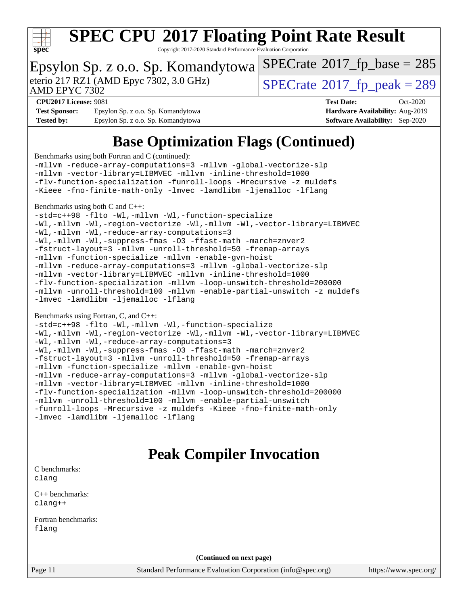

Copyright 2017-2020 Standard Performance Evaluation Corporation

### Epsylon Sp. z o.o. Sp. Komandytowa

eterio 217 RZ1 (AMD Epyc 7302, 3.0 GHz)  $\text{SPECrate}$  $\text{SPECrate}$  $\text{SPECrate}$ <sup>®</sup>[2017\\_fp\\_peak = 2](http://www.spec.org/auto/cpu2017/Docs/result-fields.html#SPECrate2017fppeak)89

 $SPECTate$ <sup>®</sup>[2017\\_fp\\_base =](http://www.spec.org/auto/cpu2017/Docs/result-fields.html#SPECrate2017fpbase) 285

AMD EPYC 7302

**[Test Sponsor:](http://www.spec.org/auto/cpu2017/Docs/result-fields.html#TestSponsor)** Epsylon Sp. z o.o. Sp. Komandytowa **[Hardware Availability:](http://www.spec.org/auto/cpu2017/Docs/result-fields.html#HardwareAvailability)** Aug-2019 **[Tested by:](http://www.spec.org/auto/cpu2017/Docs/result-fields.html#Testedby)** Epsylon Sp. z o.o. Sp. Komandytowa **[Software Availability:](http://www.spec.org/auto/cpu2017/Docs/result-fields.html#SoftwareAvailability)** Sep-2020

**[CPU2017 License:](http://www.spec.org/auto/cpu2017/Docs/result-fields.html#CPU2017License)** 9081 **[Test Date:](http://www.spec.org/auto/cpu2017/Docs/result-fields.html#TestDate)** Oct-2020

## **[Base Optimization Flags \(Continued\)](http://www.spec.org/auto/cpu2017/Docs/result-fields.html#BaseOptimizationFlags)**

[Benchmarks using both Fortran and C](http://www.spec.org/auto/cpu2017/Docs/result-fields.html#BenchmarksusingbothFortranandC) (continued):

[-mllvm -reduce-array-computations=3](http://www.spec.org/cpu2017/results/res2020q4/cpu2017-20201026-24260.flags.html#user_CC_FCbase_F-reduce-array-computations_aceadb8604558b566e0e3a0d7a3c1533923dd1fa0889614e16288028922629a28d5695c24d3b3be4306b1e311c54317dfffe3a2e57fbcaabc737a1798de39145) [-mllvm -global-vectorize-slp](http://www.spec.org/cpu2017/results/res2020q4/cpu2017-20201026-24260.flags.html#user_CC_FCbase_F-global-vectorize-slp_a3935e8627af4ced727033b1ffd4db27f4d541a363d28d82bf4c2925fb3a0fd4115d6e42d13a2829f9e024d6608eb67a85cb49770f2da5c5ac8dbc737afad603) [-mllvm -vector-library=LIBMVEC](http://www.spec.org/cpu2017/results/res2020q4/cpu2017-20201026-24260.flags.html#user_CC_FCbase_F-use-vector-library_e584e20b4f7ec96aa109254b65d8e01d864f3d68580371b9d93ed7c338191d4cfce20c3c864632264effc6bbe4c7c38153d02096a342ee92501c4a53204a7871) [-mllvm -inline-threshold=1000](http://www.spec.org/cpu2017/results/res2020q4/cpu2017-20201026-24260.flags.html#user_CC_FCbase_dragonegg-llvm-inline-threshold_b7832241b0a6397e4ecdbaf0eb7defdc10f885c2a282fa3240fdc99844d543fda39cf8a4a9dccf68cf19b5438ac3b455264f478df15da0f4988afa40d8243bab) [-flv-function-specialization](http://www.spec.org/cpu2017/results/res2020q4/cpu2017-20201026-24260.flags.html#user_CC_FCbase_F-flv-function-specialization) [-funroll-loops](http://www.spec.org/cpu2017/results/res2020q4/cpu2017-20201026-24260.flags.html#user_CC_FCbase_aocc-unroll-loops) [-Mrecursive](http://www.spec.org/cpu2017/results/res2020q4/cpu2017-20201026-24260.flags.html#user_CC_FCbase_F-mrecursive_20a145d63f12d5750a899e17d4450b5b8b40330a9bb4af13688ca650e6fb30857bbbe44fb35cdbb895df6e5b2769de0a0d7659f51ff17acfbef6febafec4023f) [-z muldefs](http://www.spec.org/cpu2017/results/res2020q4/cpu2017-20201026-24260.flags.html#user_CC_FCbase_aocc-muldefs) [-Kieee](http://www.spec.org/cpu2017/results/res2020q4/cpu2017-20201026-24260.flags.html#user_CC_FCbase_F-kieee) [-fno-finite-math-only](http://www.spec.org/cpu2017/results/res2020q4/cpu2017-20201026-24260.flags.html#user_CC_FCbase_aocc-fno-finite-math-only) [-lmvec](http://www.spec.org/cpu2017/results/res2020q4/cpu2017-20201026-24260.flags.html#user_CC_FCbase_F-lmvec) [-lamdlibm](http://www.spec.org/cpu2017/results/res2020q4/cpu2017-20201026-24260.flags.html#user_CC_FCbase_F-lamdlibm) [-ljemalloc](http://www.spec.org/cpu2017/results/res2020q4/cpu2017-20201026-24260.flags.html#user_CC_FCbase_jemalloc-lib) [-lflang](http://www.spec.org/cpu2017/results/res2020q4/cpu2017-20201026-24260.flags.html#user_CC_FCbase_F-lflang)

[Benchmarks using both C and C++](http://www.spec.org/auto/cpu2017/Docs/result-fields.html#BenchmarksusingbothCandCXX):

[-std=c++98](http://www.spec.org/cpu2017/results/res2020q4/cpu2017-20201026-24260.flags.html#user_CC_CXXbase_std-cpp) [-flto](http://www.spec.org/cpu2017/results/res2020q4/cpu2017-20201026-24260.flags.html#user_CC_CXXbase_aocc-flto) [-Wl,-mllvm -Wl,-function-specialize](http://www.spec.org/cpu2017/results/res2020q4/cpu2017-20201026-24260.flags.html#user_CC_CXXbase_F-function-specialize_7e7e661e57922243ee67c9a1251cb8910e607325179a0ce7f2884e09a6f5d4a5ef0ae4f37e8a2a11c95fc48e931f06dc2b6016f14b511fcb441e048bef1b065a) [-Wl,-mllvm -Wl,-region-vectorize](http://www.spec.org/cpu2017/results/res2020q4/cpu2017-20201026-24260.flags.html#user_CC_CXXbase_F-region-vectorize_fb6c6b5aa293c88efc6c7c2b52b20755e943585b1fe8658c35afef78727fff56e1a56891413c30e36b8e2a6f9a71126986319243e80eb6110b78b288f533c52b) [-Wl,-mllvm -Wl,-vector-library=LIBMVEC](http://www.spec.org/cpu2017/results/res2020q4/cpu2017-20201026-24260.flags.html#user_CC_CXXbase_F-use-vector-library_0a14b27fae317f283640384a31f7bfcc2bd4c1d0b5cfc618a3a430800c9b20217b00f61303eff223a3251b4f06ffbc9739dc5296db9d1fbb9ad24a3939d86d66)

[-Wl,-mllvm -Wl,-reduce-array-computations=3](http://www.spec.org/cpu2017/results/res2020q4/cpu2017-20201026-24260.flags.html#user_CC_CXXbase_F-reduce-array-computations_b882aefe7a5dda4e33149f6299762b9a720dace3e498e13756f4c04e5a19edf5315c1f3993de2e61ec41e8c206231f84e05da7040e1bb5d69ba27d10a12507e4)

[-Wl,-mllvm -Wl,-suppress-fmas](http://www.spec.org/cpu2017/results/res2020q4/cpu2017-20201026-24260.flags.html#user_CC_CXXbase_F-suppress-fmas_f00f00630e4a059e8af9c161e9bbf420bcf19890a7f99d5933525e66aa4b0bb3ab2339d2b12d97d3a5f5d271e839fe9c109938e91fe06230fb53651590cfa1e8) [-O3](http://www.spec.org/cpu2017/results/res2020q4/cpu2017-20201026-24260.flags.html#user_CC_CXXbase_F-O3) [-ffast-math](http://www.spec.org/cpu2017/results/res2020q4/cpu2017-20201026-24260.flags.html#user_CC_CXXbase_aocc-ffast-math) [-march=znver2](http://www.spec.org/cpu2017/results/res2020q4/cpu2017-20201026-24260.flags.html#user_CC_CXXbase_aocc-march_3e2e19cff2eeef60c5d90b059483627c9ea47eca6d66670dbd53f9185f6439e27eb5e104cf773e9e8ab18c8842ce63e461a3e948d0214bd567ef3ade411bf467) [-fstruct-layout=3](http://www.spec.org/cpu2017/results/res2020q4/cpu2017-20201026-24260.flags.html#user_CC_CXXbase_F-struct-layout) [-mllvm -unroll-threshold=50](http://www.spec.org/cpu2017/results/res2020q4/cpu2017-20201026-24260.flags.html#user_CC_CXXbase_F-unroll-threshold_458874500b2c105d6d5cb4d7a611c40e2b16e9e3d26b355fea72d644c3673b4de4b3932662f0ed3dbec75c491a13da2d2ca81180bd779dc531083ef1e1e549dc) [-fremap-arrays](http://www.spec.org/cpu2017/results/res2020q4/cpu2017-20201026-24260.flags.html#user_CC_CXXbase_F-fremap-arrays) [-mllvm -function-specialize](http://www.spec.org/cpu2017/results/res2020q4/cpu2017-20201026-24260.flags.html#user_CC_CXXbase_F-function-specialize_233b3bdba86027f1b094368157e481c5bc59f40286dc25bfadc1858dcd5745c24fd30d5f188710db7fea399bcc9f44a80b3ce3aacc70a8870250c3ae5e1f35b8) [-mllvm -enable-gvn-hoist](http://www.spec.org/cpu2017/results/res2020q4/cpu2017-20201026-24260.flags.html#user_CC_CXXbase_F-enable-gvn-hoist_e5856354646dd6ca1333a0ad99b817e4cf8932b91b82809fd8fd47ceff7b22a89eba5c98fd3e3fa5200368fd772cec3dd56abc3c8f7b655a71b9f9848dddedd5) [-mllvm -reduce-array-computations=3](http://www.spec.org/cpu2017/results/res2020q4/cpu2017-20201026-24260.flags.html#user_CC_CXXbase_F-reduce-array-computations_aceadb8604558b566e0e3a0d7a3c1533923dd1fa0889614e16288028922629a28d5695c24d3b3be4306b1e311c54317dfffe3a2e57fbcaabc737a1798de39145) [-mllvm -global-vectorize-slp](http://www.spec.org/cpu2017/results/res2020q4/cpu2017-20201026-24260.flags.html#user_CC_CXXbase_F-global-vectorize-slp_a3935e8627af4ced727033b1ffd4db27f4d541a363d28d82bf4c2925fb3a0fd4115d6e42d13a2829f9e024d6608eb67a85cb49770f2da5c5ac8dbc737afad603) [-mllvm -vector-library=LIBMVEC](http://www.spec.org/cpu2017/results/res2020q4/cpu2017-20201026-24260.flags.html#user_CC_CXXbase_F-use-vector-library_e584e20b4f7ec96aa109254b65d8e01d864f3d68580371b9d93ed7c338191d4cfce20c3c864632264effc6bbe4c7c38153d02096a342ee92501c4a53204a7871) [-mllvm -inline-threshold=1000](http://www.spec.org/cpu2017/results/res2020q4/cpu2017-20201026-24260.flags.html#user_CC_CXXbase_dragonegg-llvm-inline-threshold_b7832241b0a6397e4ecdbaf0eb7defdc10f885c2a282fa3240fdc99844d543fda39cf8a4a9dccf68cf19b5438ac3b455264f478df15da0f4988afa40d8243bab) [-flv-function-specialization](http://www.spec.org/cpu2017/results/res2020q4/cpu2017-20201026-24260.flags.html#user_CC_CXXbase_F-flv-function-specialization) [-mllvm -loop-unswitch-threshold=200000](http://www.spec.org/cpu2017/results/res2020q4/cpu2017-20201026-24260.flags.html#user_CC_CXXbase_F-loop-unswitch-threshold_f9a82ae3270e55b5fbf79d0d96ee93606b73edbbe527d20b18b7bff1a3a146ad50cfc7454c5297978340ae9213029016a7d16221274d672d3f7f42ed25274e1d) [-mllvm -unroll-threshold=100](http://www.spec.org/cpu2017/results/res2020q4/cpu2017-20201026-24260.flags.html#user_CC_CXXbase_F-unroll-threshold_2755d0c78138845d361fa1543e3a063fffa198df9b3edf0cfb856bbc88a81e1769b12ac7a550c5d35197be55360db1a3f95a8d1304df999456cabf5120c45168) [-mllvm -enable-partial-unswitch](http://www.spec.org/cpu2017/results/res2020q4/cpu2017-20201026-24260.flags.html#user_CC_CXXbase_F-enable-partial-unswitch_6e1c33f981d77963b1eaf834973128a7f33ce3f8e27f54689656697a35e89dcc875281e0e6283d043e32f367dcb605ba0e307a92e830f7e326789fa6c61b35d3) [-z muldefs](http://www.spec.org/cpu2017/results/res2020q4/cpu2017-20201026-24260.flags.html#user_CC_CXXbase_aocc-muldefs) [-lmvec](http://www.spec.org/cpu2017/results/res2020q4/cpu2017-20201026-24260.flags.html#user_CC_CXXbase_F-lmvec) [-lamdlibm](http://www.spec.org/cpu2017/results/res2020q4/cpu2017-20201026-24260.flags.html#user_CC_CXXbase_F-lamdlibm) [-ljemalloc](http://www.spec.org/cpu2017/results/res2020q4/cpu2017-20201026-24260.flags.html#user_CC_CXXbase_jemalloc-lib) [-lflang](http://www.spec.org/cpu2017/results/res2020q4/cpu2017-20201026-24260.flags.html#user_CC_CXXbase_F-lflang)

#### [Benchmarks using Fortran, C, and C++:](http://www.spec.org/auto/cpu2017/Docs/result-fields.html#BenchmarksusingFortranCandCXX)

```
-std=c++98 -flto -Wl,-mllvm -Wl,-function-specialize
-Wl,-mllvm -Wl,-region-vectorize -Wl,-mllvm -Wl,-vector-library=LIBMVEC
-Wl,-mllvm -Wl,-reduce-array-computations=3
-Wl,-mllvm -Wl,-suppress-fmas -O3 -ffast-math -march=znver2
-fstruct-layout=3 -mllvm -unroll-threshold=50 -fremap-arrays
-mllvm -function-specialize -mllvm -enable-gvn-hoist
-mllvm -reduce-array-computations=3 -mllvm -global-vectorize-slp
-mllvm -vector-library=LIBMVEC -mllvm -inline-threshold=1000
-flv-function-specialization -mllvm -loop-unswitch-threshold=200000
-mllvm -unroll-threshold=100 -mllvm -enable-partial-unswitch
-funroll-loops -Mrecursive -z muldefs -Kieee -fno-finite-math-only
-lmvec -lamdlibm -ljemalloc -lflang
```
### **[Peak Compiler Invocation](http://www.spec.org/auto/cpu2017/Docs/result-fields.html#PeakCompilerInvocation)**

[C benchmarks](http://www.spec.org/auto/cpu2017/Docs/result-fields.html#Cbenchmarks): [clang](http://www.spec.org/cpu2017/results/res2020q4/cpu2017-20201026-24260.flags.html#user_CCpeak_clang-c)

[C++ benchmarks:](http://www.spec.org/auto/cpu2017/Docs/result-fields.html#CXXbenchmarks) [clang++](http://www.spec.org/cpu2017/results/res2020q4/cpu2017-20201026-24260.flags.html#user_CXXpeak_clang-cpp)

[Fortran benchmarks](http://www.spec.org/auto/cpu2017/Docs/result-fields.html#Fortranbenchmarks): [flang](http://www.spec.org/cpu2017/results/res2020q4/cpu2017-20201026-24260.flags.html#user_FCpeak_flang)

**(Continued on next page)**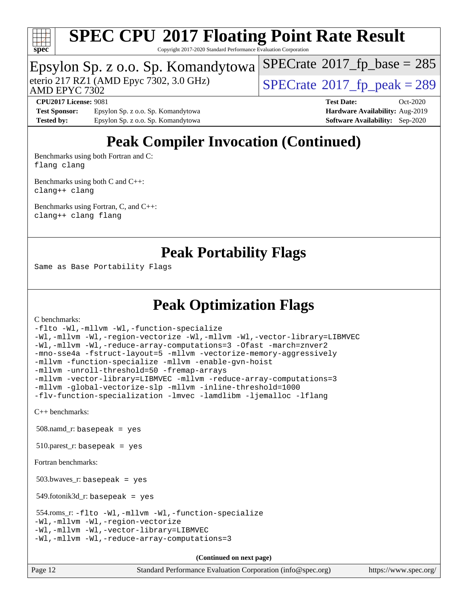

Copyright 2017-2020 Standard Performance Evaluation Corporation

### Epsylon Sp. z o.o. Sp. Komandytowa

AMD EPYC 7302

eterio 217 RZ1 (AMD Epyc 7302, 3.0 GHz)  $\sqrt{\text{SPECrate}^{\otimes}2017\_fp\_peak} = 289$  $\sqrt{\text{SPECrate}^{\otimes}2017\_fp\_peak} = 289$  $\sqrt{\text{SPECrate}^{\otimes}2017\_fp\_peak} = 289$ 

 $SPECTate$ <sup>®</sup>[2017\\_fp\\_base =](http://www.spec.org/auto/cpu2017/Docs/result-fields.html#SPECrate2017fpbase) 285

**[Test Sponsor:](http://www.spec.org/auto/cpu2017/Docs/result-fields.html#TestSponsor)** Epsylon Sp. z o.o. Sp. Komandytowa **[Hardware Availability:](http://www.spec.org/auto/cpu2017/Docs/result-fields.html#HardwareAvailability)** Aug-2019 **[Tested by:](http://www.spec.org/auto/cpu2017/Docs/result-fields.html#Testedby)** Epsylon Sp. z o.o. Sp. Komandytowa **[Software Availability:](http://www.spec.org/auto/cpu2017/Docs/result-fields.html#SoftwareAvailability)** Sep-2020

**[CPU2017 License:](http://www.spec.org/auto/cpu2017/Docs/result-fields.html#CPU2017License)** 9081 **[Test Date:](http://www.spec.org/auto/cpu2017/Docs/result-fields.html#TestDate)** Oct-2020

## **[Peak Compiler Invocation \(Continued\)](http://www.spec.org/auto/cpu2017/Docs/result-fields.html#PeakCompilerInvocation)**

[Benchmarks using both Fortran and C](http://www.spec.org/auto/cpu2017/Docs/result-fields.html#BenchmarksusingbothFortranandC): [flang](http://www.spec.org/cpu2017/results/res2020q4/cpu2017-20201026-24260.flags.html#user_CC_FCpeak_flang) [clang](http://www.spec.org/cpu2017/results/res2020q4/cpu2017-20201026-24260.flags.html#user_CC_FCpeak_clang-c)

[Benchmarks using both C and C++](http://www.spec.org/auto/cpu2017/Docs/result-fields.html#BenchmarksusingbothCandCXX): [clang++](http://www.spec.org/cpu2017/results/res2020q4/cpu2017-20201026-24260.flags.html#user_CC_CXXpeak_clang-cpp) [clang](http://www.spec.org/cpu2017/results/res2020q4/cpu2017-20201026-24260.flags.html#user_CC_CXXpeak_clang-c)

[Benchmarks using Fortran, C, and C++:](http://www.spec.org/auto/cpu2017/Docs/result-fields.html#BenchmarksusingFortranCandCXX) [clang++](http://www.spec.org/cpu2017/results/res2020q4/cpu2017-20201026-24260.flags.html#user_CC_CXX_FCpeak_clang-cpp) [clang](http://www.spec.org/cpu2017/results/res2020q4/cpu2017-20201026-24260.flags.html#user_CC_CXX_FCpeak_clang-c) [flang](http://www.spec.org/cpu2017/results/res2020q4/cpu2017-20201026-24260.flags.html#user_CC_CXX_FCpeak_flang)

### **[Peak Portability Flags](http://www.spec.org/auto/cpu2017/Docs/result-fields.html#PeakPortabilityFlags)**

Same as Base Portability Flags

## **[Peak Optimization Flags](http://www.spec.org/auto/cpu2017/Docs/result-fields.html#PeakOptimizationFlags)**

[C benchmarks](http://www.spec.org/auto/cpu2017/Docs/result-fields.html#Cbenchmarks):

[-flto](http://www.spec.org/cpu2017/results/res2020q4/cpu2017-20201026-24260.flags.html#user_CCpeak_aocc-flto) [-Wl,-mllvm -Wl,-function-specialize](http://www.spec.org/cpu2017/results/res2020q4/cpu2017-20201026-24260.flags.html#user_CCpeak_F-function-specialize_7e7e661e57922243ee67c9a1251cb8910e607325179a0ce7f2884e09a6f5d4a5ef0ae4f37e8a2a11c95fc48e931f06dc2b6016f14b511fcb441e048bef1b065a) [-Wl,-mllvm -Wl,-region-vectorize](http://www.spec.org/cpu2017/results/res2020q4/cpu2017-20201026-24260.flags.html#user_CCpeak_F-region-vectorize_fb6c6b5aa293c88efc6c7c2b52b20755e943585b1fe8658c35afef78727fff56e1a56891413c30e36b8e2a6f9a71126986319243e80eb6110b78b288f533c52b) [-Wl,-mllvm -Wl,-vector-library=LIBMVEC](http://www.spec.org/cpu2017/results/res2020q4/cpu2017-20201026-24260.flags.html#user_CCpeak_F-use-vector-library_0a14b27fae317f283640384a31f7bfcc2bd4c1d0b5cfc618a3a430800c9b20217b00f61303eff223a3251b4f06ffbc9739dc5296db9d1fbb9ad24a3939d86d66) [-Wl,-mllvm -Wl,-reduce-array-computations=3](http://www.spec.org/cpu2017/results/res2020q4/cpu2017-20201026-24260.flags.html#user_CCpeak_F-reduce-array-computations_b882aefe7a5dda4e33149f6299762b9a720dace3e498e13756f4c04e5a19edf5315c1f3993de2e61ec41e8c206231f84e05da7040e1bb5d69ba27d10a12507e4) [-Ofast](http://www.spec.org/cpu2017/results/res2020q4/cpu2017-20201026-24260.flags.html#user_CCpeak_aocc-Ofast) [-march=znver2](http://www.spec.org/cpu2017/results/res2020q4/cpu2017-20201026-24260.flags.html#user_CCpeak_aocc-march_3e2e19cff2eeef60c5d90b059483627c9ea47eca6d66670dbd53f9185f6439e27eb5e104cf773e9e8ab18c8842ce63e461a3e948d0214bd567ef3ade411bf467) [-mno-sse4a](http://www.spec.org/cpu2017/results/res2020q4/cpu2017-20201026-24260.flags.html#user_CCpeak_F-mno-sse4a) [-fstruct-layout=5](http://www.spec.org/cpu2017/results/res2020q4/cpu2017-20201026-24260.flags.html#user_CCpeak_F-struct-layout_0de9d3561e9f54a54e0843cce081bd13a08ab3e9a82696f3346606c2e11360c37113781019b02fa128d9f650e68f1ffd209bab5c3a026c1ad23e4e7f60646b23) [-mllvm -vectorize-memory-aggressively](http://www.spec.org/cpu2017/results/res2020q4/cpu2017-20201026-24260.flags.html#user_CCpeak_F-vectorize-memory-aggressively_24b72a4417f50ade9e698c5b3bed87ab456cc6fc8ec6439480cb84f36ad6a3975af6e87206dea402e3871a1464ff3d60bc798e0250f330177ba629a260df1857) [-mllvm -function-specialize](http://www.spec.org/cpu2017/results/res2020q4/cpu2017-20201026-24260.flags.html#user_CCpeak_F-function-specialize_233b3bdba86027f1b094368157e481c5bc59f40286dc25bfadc1858dcd5745c24fd30d5f188710db7fea399bcc9f44a80b3ce3aacc70a8870250c3ae5e1f35b8) [-mllvm -enable-gvn-hoist](http://www.spec.org/cpu2017/results/res2020q4/cpu2017-20201026-24260.flags.html#user_CCpeak_F-enable-gvn-hoist_e5856354646dd6ca1333a0ad99b817e4cf8932b91b82809fd8fd47ceff7b22a89eba5c98fd3e3fa5200368fd772cec3dd56abc3c8f7b655a71b9f9848dddedd5) [-mllvm -unroll-threshold=50](http://www.spec.org/cpu2017/results/res2020q4/cpu2017-20201026-24260.flags.html#user_CCpeak_F-unroll-threshold_458874500b2c105d6d5cb4d7a611c40e2b16e9e3d26b355fea72d644c3673b4de4b3932662f0ed3dbec75c491a13da2d2ca81180bd779dc531083ef1e1e549dc) [-fremap-arrays](http://www.spec.org/cpu2017/results/res2020q4/cpu2017-20201026-24260.flags.html#user_CCpeak_F-fremap-arrays) [-mllvm -vector-library=LIBMVEC](http://www.spec.org/cpu2017/results/res2020q4/cpu2017-20201026-24260.flags.html#user_CCpeak_F-use-vector-library_e584e20b4f7ec96aa109254b65d8e01d864f3d68580371b9d93ed7c338191d4cfce20c3c864632264effc6bbe4c7c38153d02096a342ee92501c4a53204a7871) [-mllvm -reduce-array-computations=3](http://www.spec.org/cpu2017/results/res2020q4/cpu2017-20201026-24260.flags.html#user_CCpeak_F-reduce-array-computations_aceadb8604558b566e0e3a0d7a3c1533923dd1fa0889614e16288028922629a28d5695c24d3b3be4306b1e311c54317dfffe3a2e57fbcaabc737a1798de39145) [-mllvm -global-vectorize-slp](http://www.spec.org/cpu2017/results/res2020q4/cpu2017-20201026-24260.flags.html#user_CCpeak_F-global-vectorize-slp_a3935e8627af4ced727033b1ffd4db27f4d541a363d28d82bf4c2925fb3a0fd4115d6e42d13a2829f9e024d6608eb67a85cb49770f2da5c5ac8dbc737afad603) [-mllvm -inline-threshold=1000](http://www.spec.org/cpu2017/results/res2020q4/cpu2017-20201026-24260.flags.html#user_CCpeak_dragonegg-llvm-inline-threshold_b7832241b0a6397e4ecdbaf0eb7defdc10f885c2a282fa3240fdc99844d543fda39cf8a4a9dccf68cf19b5438ac3b455264f478df15da0f4988afa40d8243bab) [-flv-function-specialization](http://www.spec.org/cpu2017/results/res2020q4/cpu2017-20201026-24260.flags.html#user_CCpeak_F-flv-function-specialization) [-lmvec](http://www.spec.org/cpu2017/results/res2020q4/cpu2017-20201026-24260.flags.html#user_CCpeak_F-lmvec) [-lamdlibm](http://www.spec.org/cpu2017/results/res2020q4/cpu2017-20201026-24260.flags.html#user_CCpeak_F-lamdlibm) [-ljemalloc](http://www.spec.org/cpu2017/results/res2020q4/cpu2017-20201026-24260.flags.html#user_CCpeak_jemalloc-lib) [-lflang](http://www.spec.org/cpu2017/results/res2020q4/cpu2017-20201026-24260.flags.html#user_CCpeak_F-lflang)

[C++ benchmarks:](http://www.spec.org/auto/cpu2017/Docs/result-fields.html#CXXbenchmarks)

508.namd\_r: basepeak = yes

 $510.parest_r:$  basepeak = yes

[Fortran benchmarks](http://www.spec.org/auto/cpu2017/Docs/result-fields.html#Fortranbenchmarks):

503.bwaves\_r: basepeak = yes

 $549.$ fotonik $3d$ <sub>-</sub> $r:$  basepeak = yes

```
 554.roms_r: -flto -Wl,-mllvm -Wl,-function-specialize
-Wl,-mllvm -Wl,-region-vectorize
-Wl,-mllvm -Wl,-vector-library=LIBMVEC
-Wl,-mllvm -Wl,-reduce-array-computations=3
```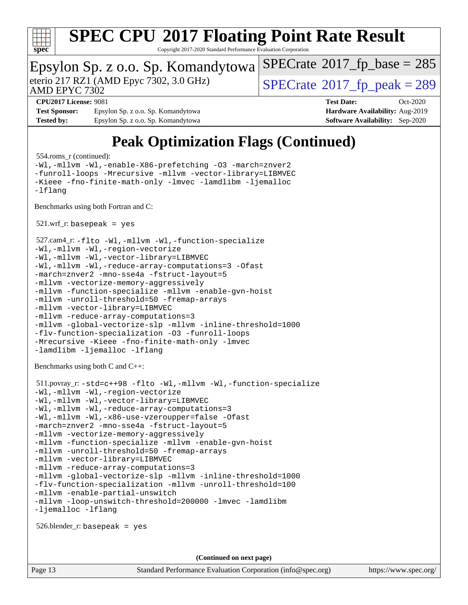

Copyright 2017-2020 Standard Performance Evaluation Corporation

#### Epsylon Sp. z o.o. Sp. Komandytowa AMD EPYC 7302 eterio 217 RZ1 (AMD Epyc 7302, 3.0 GHz)  $\text{SPECrate}$  $\text{SPECrate}$  $\text{SPECrate}$ <sup>®</sup>[2017\\_fp\\_peak = 2](http://www.spec.org/auto/cpu2017/Docs/result-fields.html#SPECrate2017fppeak)89  $SPECTate$ <sup>®</sup>[2017\\_fp\\_base =](http://www.spec.org/auto/cpu2017/Docs/result-fields.html#SPECrate2017fpbase) 285 **[CPU2017 License:](http://www.spec.org/auto/cpu2017/Docs/result-fields.html#CPU2017License)** 9081 **[Test Date:](http://www.spec.org/auto/cpu2017/Docs/result-fields.html#TestDate)** Oct-2020 **[Test Sponsor:](http://www.spec.org/auto/cpu2017/Docs/result-fields.html#TestSponsor)** Epsylon Sp. z o.o. Sp. Komandytowa **[Hardware Availability:](http://www.spec.org/auto/cpu2017/Docs/result-fields.html#HardwareAvailability)** Aug-2019 **[Tested by:](http://www.spec.org/auto/cpu2017/Docs/result-fields.html#Testedby)** Epsylon Sp. z o.o. Sp. Komandytowa **[Software Availability:](http://www.spec.org/auto/cpu2017/Docs/result-fields.html#SoftwareAvailability)** Sep-2020 **[Peak Optimization Flags \(Continued\)](http://www.spec.org/auto/cpu2017/Docs/result-fields.html#PeakOptimizationFlags)** 554.roms\_r (continued): [-Wl,-mllvm -Wl,-enable-X86-prefetching](http://www.spec.org/cpu2017/results/res2020q4/cpu2017-20201026-24260.flags.html#user_peakLDFFLAGS554_roms_r_F-enable-X86-prefetching_362de7b2f7f327d498ff3502bcaa6d8937de40fbbc59a600e539433e6b2cb9ea5e30d4a00c3465ce74a160670b5fcaffd57d10fdc90b0d7ee2c6f387a6bf1aee) [-O3](http://www.spec.org/cpu2017/results/res2020q4/cpu2017-20201026-24260.flags.html#user_peakFOPTIMIZE554_roms_r_F-O3) [-march=znver2](http://www.spec.org/cpu2017/results/res2020q4/cpu2017-20201026-24260.flags.html#user_peakFOPTIMIZE554_roms_r_aocc-march_3e2e19cff2eeef60c5d90b059483627c9ea47eca6d66670dbd53f9185f6439e27eb5e104cf773e9e8ab18c8842ce63e461a3e948d0214bd567ef3ade411bf467) [-funroll-loops](http://www.spec.org/cpu2017/results/res2020q4/cpu2017-20201026-24260.flags.html#user_peakFOPTIMIZE554_roms_r_aocc-unroll-loops) [-Mrecursive](http://www.spec.org/cpu2017/results/res2020q4/cpu2017-20201026-24260.flags.html#user_peakFOPTIMIZE554_roms_r_F-mrecursive_20a145d63f12d5750a899e17d4450b5b8b40330a9bb4af13688ca650e6fb30857bbbe44fb35cdbb895df6e5b2769de0a0d7659f51ff17acfbef6febafec4023f) [-mllvm -vector-library=LIBMVEC](http://www.spec.org/cpu2017/results/res2020q4/cpu2017-20201026-24260.flags.html#user_peakFOPTIMIZE554_roms_r_F-use-vector-library_e584e20b4f7ec96aa109254b65d8e01d864f3d68580371b9d93ed7c338191d4cfce20c3c864632264effc6bbe4c7c38153d02096a342ee92501c4a53204a7871) [-Kieee](http://www.spec.org/cpu2017/results/res2020q4/cpu2017-20201026-24260.flags.html#user_peakEXTRA_FFLAGS554_roms_r_F-kieee) [-fno-finite-math-only](http://www.spec.org/cpu2017/results/res2020q4/cpu2017-20201026-24260.flags.html#user_peakEXTRA_FFLAGS554_roms_r_aocc-fno-finite-math-only) [-lmvec](http://www.spec.org/cpu2017/results/res2020q4/cpu2017-20201026-24260.flags.html#user_peakEXTRA_FLIBSEXTRA_LIBS554_roms_r_F-lmvec) [-lamdlibm](http://www.spec.org/cpu2017/results/res2020q4/cpu2017-20201026-24260.flags.html#user_peakEXTRA_FLIBSEXTRA_LIBS554_roms_r_F-lamdlibm) [-ljemalloc](http://www.spec.org/cpu2017/results/res2020q4/cpu2017-20201026-24260.flags.html#user_peakEXTRA_LIBS554_roms_r_jemalloc-lib) [-lflang](http://www.spec.org/cpu2017/results/res2020q4/cpu2017-20201026-24260.flags.html#user_peakEXTRA_LIBS554_roms_r_F-lflang) [Benchmarks using both Fortran and C](http://www.spec.org/auto/cpu2017/Docs/result-fields.html#BenchmarksusingbothFortranandC):  $521.wrf\_r:$  basepeak = yes 527.cam4\_r: [-flto](http://www.spec.org/cpu2017/results/res2020q4/cpu2017-20201026-24260.flags.html#user_peakCOPTIMIZEFOPTIMIZELDFLAGS527_cam4_r_aocc-flto) [-Wl,-mllvm -Wl,-function-specialize](http://www.spec.org/cpu2017/results/res2020q4/cpu2017-20201026-24260.flags.html#user_peakLDFLAGS527_cam4_r_F-function-specialize_7e7e661e57922243ee67c9a1251cb8910e607325179a0ce7f2884e09a6f5d4a5ef0ae4f37e8a2a11c95fc48e931f06dc2b6016f14b511fcb441e048bef1b065a) [-Wl,-mllvm -Wl,-region-vectorize](http://www.spec.org/cpu2017/results/res2020q4/cpu2017-20201026-24260.flags.html#user_peakLDFLAGS527_cam4_r_F-region-vectorize_fb6c6b5aa293c88efc6c7c2b52b20755e943585b1fe8658c35afef78727fff56e1a56891413c30e36b8e2a6f9a71126986319243e80eb6110b78b288f533c52b) [-Wl,-mllvm -Wl,-vector-library=LIBMVEC](http://www.spec.org/cpu2017/results/res2020q4/cpu2017-20201026-24260.flags.html#user_peakLDFLAGS527_cam4_r_F-use-vector-library_0a14b27fae317f283640384a31f7bfcc2bd4c1d0b5cfc618a3a430800c9b20217b00f61303eff223a3251b4f06ffbc9739dc5296db9d1fbb9ad24a3939d86d66) [-Wl,-mllvm -Wl,-reduce-array-computations=3](http://www.spec.org/cpu2017/results/res2020q4/cpu2017-20201026-24260.flags.html#user_peakLDFLAGS527_cam4_r_F-reduce-array-computations_b882aefe7a5dda4e33149f6299762b9a720dace3e498e13756f4c04e5a19edf5315c1f3993de2e61ec41e8c206231f84e05da7040e1bb5d69ba27d10a12507e4) [-Ofast](http://www.spec.org/cpu2017/results/res2020q4/cpu2017-20201026-24260.flags.html#user_peakCOPTIMIZE527_cam4_r_aocc-Ofast) [-march=znver2](http://www.spec.org/cpu2017/results/res2020q4/cpu2017-20201026-24260.flags.html#user_peakCOPTIMIZEFOPTIMIZE527_cam4_r_aocc-march_3e2e19cff2eeef60c5d90b059483627c9ea47eca6d66670dbd53f9185f6439e27eb5e104cf773e9e8ab18c8842ce63e461a3e948d0214bd567ef3ade411bf467) [-mno-sse4a](http://www.spec.org/cpu2017/results/res2020q4/cpu2017-20201026-24260.flags.html#user_peakCOPTIMIZE527_cam4_r_F-mno-sse4a) [-fstruct-layout=5](http://www.spec.org/cpu2017/results/res2020q4/cpu2017-20201026-24260.flags.html#user_peakCOPTIMIZE527_cam4_r_F-struct-layout_0de9d3561e9f54a54e0843cce081bd13a08ab3e9a82696f3346606c2e11360c37113781019b02fa128d9f650e68f1ffd209bab5c3a026c1ad23e4e7f60646b23) [-mllvm -vectorize-memory-aggressively](http://www.spec.org/cpu2017/results/res2020q4/cpu2017-20201026-24260.flags.html#user_peakCOPTIMIZE527_cam4_r_F-vectorize-memory-aggressively_24b72a4417f50ade9e698c5b3bed87ab456cc6fc8ec6439480cb84f36ad6a3975af6e87206dea402e3871a1464ff3d60bc798e0250f330177ba629a260df1857) [-mllvm -function-specialize](http://www.spec.org/cpu2017/results/res2020q4/cpu2017-20201026-24260.flags.html#user_peakCOPTIMIZE527_cam4_r_F-function-specialize_233b3bdba86027f1b094368157e481c5bc59f40286dc25bfadc1858dcd5745c24fd30d5f188710db7fea399bcc9f44a80b3ce3aacc70a8870250c3ae5e1f35b8) [-mllvm -enable-gvn-hoist](http://www.spec.org/cpu2017/results/res2020q4/cpu2017-20201026-24260.flags.html#user_peakCOPTIMIZE527_cam4_r_F-enable-gvn-hoist_e5856354646dd6ca1333a0ad99b817e4cf8932b91b82809fd8fd47ceff7b22a89eba5c98fd3e3fa5200368fd772cec3dd56abc3c8f7b655a71b9f9848dddedd5) [-mllvm -unroll-threshold=50](http://www.spec.org/cpu2017/results/res2020q4/cpu2017-20201026-24260.flags.html#user_peakCOPTIMIZE527_cam4_r_F-unroll-threshold_458874500b2c105d6d5cb4d7a611c40e2b16e9e3d26b355fea72d644c3673b4de4b3932662f0ed3dbec75c491a13da2d2ca81180bd779dc531083ef1e1e549dc) [-fremap-arrays](http://www.spec.org/cpu2017/results/res2020q4/cpu2017-20201026-24260.flags.html#user_peakCOPTIMIZE527_cam4_r_F-fremap-arrays) [-mllvm -vector-library=LIBMVEC](http://www.spec.org/cpu2017/results/res2020q4/cpu2017-20201026-24260.flags.html#user_peakCOPTIMIZEFOPTIMIZE527_cam4_r_F-use-vector-library_e584e20b4f7ec96aa109254b65d8e01d864f3d68580371b9d93ed7c338191d4cfce20c3c864632264effc6bbe4c7c38153d02096a342ee92501c4a53204a7871) [-mllvm -reduce-array-computations=3](http://www.spec.org/cpu2017/results/res2020q4/cpu2017-20201026-24260.flags.html#user_peakCOPTIMIZE527_cam4_r_F-reduce-array-computations_aceadb8604558b566e0e3a0d7a3c1533923dd1fa0889614e16288028922629a28d5695c24d3b3be4306b1e311c54317dfffe3a2e57fbcaabc737a1798de39145) [-mllvm -global-vectorize-slp](http://www.spec.org/cpu2017/results/res2020q4/cpu2017-20201026-24260.flags.html#user_peakCOPTIMIZE527_cam4_r_F-global-vectorize-slp_a3935e8627af4ced727033b1ffd4db27f4d541a363d28d82bf4c2925fb3a0fd4115d6e42d13a2829f9e024d6608eb67a85cb49770f2da5c5ac8dbc737afad603) [-mllvm -inline-threshold=1000](http://www.spec.org/cpu2017/results/res2020q4/cpu2017-20201026-24260.flags.html#user_peakCOPTIMIZE527_cam4_r_dragonegg-llvm-inline-threshold_b7832241b0a6397e4ecdbaf0eb7defdc10f885c2a282fa3240fdc99844d543fda39cf8a4a9dccf68cf19b5438ac3b455264f478df15da0f4988afa40d8243bab) [-flv-function-specialization](http://www.spec.org/cpu2017/results/res2020q4/cpu2017-20201026-24260.flags.html#user_peakCOPTIMIZE527_cam4_r_F-flv-function-specialization) [-O3](http://www.spec.org/cpu2017/results/res2020q4/cpu2017-20201026-24260.flags.html#user_peakFOPTIMIZE527_cam4_r_F-O3) [-funroll-loops](http://www.spec.org/cpu2017/results/res2020q4/cpu2017-20201026-24260.flags.html#user_peakFOPTIMIZE527_cam4_r_aocc-unroll-loops) [-Mrecursive](http://www.spec.org/cpu2017/results/res2020q4/cpu2017-20201026-24260.flags.html#user_peakFOPTIMIZE527_cam4_r_F-mrecursive_20a145d63f12d5750a899e17d4450b5b8b40330a9bb4af13688ca650e6fb30857bbbe44fb35cdbb895df6e5b2769de0a0d7659f51ff17acfbef6febafec4023f) [-Kieee](http://www.spec.org/cpu2017/results/res2020q4/cpu2017-20201026-24260.flags.html#user_peakEXTRA_FFLAGS527_cam4_r_F-kieee) [-fno-finite-math-only](http://www.spec.org/cpu2017/results/res2020q4/cpu2017-20201026-24260.flags.html#user_peakEXTRA_FFLAGS527_cam4_r_aocc-fno-finite-math-only) [-lmvec](http://www.spec.org/cpu2017/results/res2020q4/cpu2017-20201026-24260.flags.html#user_peakEXTRA_FLIBSEXTRA_LIBS527_cam4_r_F-lmvec) [-lamdlibm](http://www.spec.org/cpu2017/results/res2020q4/cpu2017-20201026-24260.flags.html#user_peakEXTRA_FLIBSEXTRA_LIBS527_cam4_r_F-lamdlibm) [-ljemalloc](http://www.spec.org/cpu2017/results/res2020q4/cpu2017-20201026-24260.flags.html#user_peakEXTRA_LIBS527_cam4_r_jemalloc-lib) [-lflang](http://www.spec.org/cpu2017/results/res2020q4/cpu2017-20201026-24260.flags.html#user_peakEXTRA_LIBS527_cam4_r_F-lflang) [Benchmarks using both C and C++](http://www.spec.org/auto/cpu2017/Docs/result-fields.html#BenchmarksusingbothCandCXX): 511.povray\_r: [-std=c++98](http://www.spec.org/cpu2017/results/res2020q4/cpu2017-20201026-24260.flags.html#user_peakCXXLD511_povray_r_std-cpp) [-flto](http://www.spec.org/cpu2017/results/res2020q4/cpu2017-20201026-24260.flags.html#user_peakCOPTIMIZECXXOPTIMIZELDFLAGS511_povray_r_aocc-flto) [-Wl,-mllvm -Wl,-function-specialize](http://www.spec.org/cpu2017/results/res2020q4/cpu2017-20201026-24260.flags.html#user_peakLDFLAGS511_povray_r_F-function-specialize_7e7e661e57922243ee67c9a1251cb8910e607325179a0ce7f2884e09a6f5d4a5ef0ae4f37e8a2a11c95fc48e931f06dc2b6016f14b511fcb441e048bef1b065a) [-Wl,-mllvm -Wl,-region-vectorize](http://www.spec.org/cpu2017/results/res2020q4/cpu2017-20201026-24260.flags.html#user_peakLDFLAGS511_povray_r_F-region-vectorize_fb6c6b5aa293c88efc6c7c2b52b20755e943585b1fe8658c35afef78727fff56e1a56891413c30e36b8e2a6f9a71126986319243e80eb6110b78b288f533c52b) [-Wl,-mllvm -Wl,-vector-library=LIBMVEC](http://www.spec.org/cpu2017/results/res2020q4/cpu2017-20201026-24260.flags.html#user_peakLDFLAGS511_povray_r_F-use-vector-library_0a14b27fae317f283640384a31f7bfcc2bd4c1d0b5cfc618a3a430800c9b20217b00f61303eff223a3251b4f06ffbc9739dc5296db9d1fbb9ad24a3939d86d66) [-Wl,-mllvm -Wl,-reduce-array-computations=3](http://www.spec.org/cpu2017/results/res2020q4/cpu2017-20201026-24260.flags.html#user_peakLDFLAGS511_povray_r_F-reduce-array-computations_b882aefe7a5dda4e33149f6299762b9a720dace3e498e13756f4c04e5a19edf5315c1f3993de2e61ec41e8c206231f84e05da7040e1bb5d69ba27d10a12507e4) [-Wl,-mllvm -Wl,-x86-use-vzeroupper=false](http://www.spec.org/cpu2017/results/res2020q4/cpu2017-20201026-24260.flags.html#user_peakLDCXXFLAGS511_povray_r_F-no-vzeroupper_f792211b0552b0142c11cf651c85f88d7eca3e3e6d4ab29ab8b0b7be9c7d83df7aebb846b5dded1424ec84d39acb59d058815f97bc3ae9de4ba00ee4e2945c83) [-Ofast](http://www.spec.org/cpu2017/results/res2020q4/cpu2017-20201026-24260.flags.html#user_peakCOPTIMIZECXXOPTIMIZE511_povray_r_aocc-Ofast) [-march=znver2](http://www.spec.org/cpu2017/results/res2020q4/cpu2017-20201026-24260.flags.html#user_peakCOPTIMIZECXXOPTIMIZE511_povray_r_aocc-march_3e2e19cff2eeef60c5d90b059483627c9ea47eca6d66670dbd53f9185f6439e27eb5e104cf773e9e8ab18c8842ce63e461a3e948d0214bd567ef3ade411bf467) [-mno-sse4a](http://www.spec.org/cpu2017/results/res2020q4/cpu2017-20201026-24260.flags.html#user_peakCOPTIMIZE511_povray_r_F-mno-sse4a) [-fstruct-layout=5](http://www.spec.org/cpu2017/results/res2020q4/cpu2017-20201026-24260.flags.html#user_peakCOPTIMIZE511_povray_r_F-struct-layout_0de9d3561e9f54a54e0843cce081bd13a08ab3e9a82696f3346606c2e11360c37113781019b02fa128d9f650e68f1ffd209bab5c3a026c1ad23e4e7f60646b23) [-mllvm -vectorize-memory-aggressively](http://www.spec.org/cpu2017/results/res2020q4/cpu2017-20201026-24260.flags.html#user_peakCOPTIMIZE511_povray_r_F-vectorize-memory-aggressively_24b72a4417f50ade9e698c5b3bed87ab456cc6fc8ec6439480cb84f36ad6a3975af6e87206dea402e3871a1464ff3d60bc798e0250f330177ba629a260df1857) [-mllvm -function-specialize](http://www.spec.org/cpu2017/results/res2020q4/cpu2017-20201026-24260.flags.html#user_peakCOPTIMIZE511_povray_r_F-function-specialize_233b3bdba86027f1b094368157e481c5bc59f40286dc25bfadc1858dcd5745c24fd30d5f188710db7fea399bcc9f44a80b3ce3aacc70a8870250c3ae5e1f35b8) [-mllvm -enable-gvn-hoist](http://www.spec.org/cpu2017/results/res2020q4/cpu2017-20201026-24260.flags.html#user_peakCOPTIMIZE511_povray_r_F-enable-gvn-hoist_e5856354646dd6ca1333a0ad99b817e4cf8932b91b82809fd8fd47ceff7b22a89eba5c98fd3e3fa5200368fd772cec3dd56abc3c8f7b655a71b9f9848dddedd5) [-mllvm -unroll-threshold=50](http://www.spec.org/cpu2017/results/res2020q4/cpu2017-20201026-24260.flags.html#user_peakCOPTIMIZE511_povray_r_F-unroll-threshold_458874500b2c105d6d5cb4d7a611c40e2b16e9e3d26b355fea72d644c3673b4de4b3932662f0ed3dbec75c491a13da2d2ca81180bd779dc531083ef1e1e549dc) [-fremap-arrays](http://www.spec.org/cpu2017/results/res2020q4/cpu2017-20201026-24260.flags.html#user_peakCOPTIMIZE511_povray_r_F-fremap-arrays) [-mllvm -vector-library=LIBMVEC](http://www.spec.org/cpu2017/results/res2020q4/cpu2017-20201026-24260.flags.html#user_peakCOPTIMIZECXXOPTIMIZE511_povray_r_F-use-vector-library_e584e20b4f7ec96aa109254b65d8e01d864f3d68580371b9d93ed7c338191d4cfce20c3c864632264effc6bbe4c7c38153d02096a342ee92501c4a53204a7871) [-mllvm -reduce-array-computations=3](http://www.spec.org/cpu2017/results/res2020q4/cpu2017-20201026-24260.flags.html#user_peakCOPTIMIZE511_povray_r_F-reduce-array-computations_aceadb8604558b566e0e3a0d7a3c1533923dd1fa0889614e16288028922629a28d5695c24d3b3be4306b1e311c54317dfffe3a2e57fbcaabc737a1798de39145) [-mllvm -global-vectorize-slp](http://www.spec.org/cpu2017/results/res2020q4/cpu2017-20201026-24260.flags.html#user_peakCOPTIMIZE511_povray_r_F-global-vectorize-slp_a3935e8627af4ced727033b1ffd4db27f4d541a363d28d82bf4c2925fb3a0fd4115d6e42d13a2829f9e024d6608eb67a85cb49770f2da5c5ac8dbc737afad603) [-mllvm -inline-threshold=1000](http://www.spec.org/cpu2017/results/res2020q4/cpu2017-20201026-24260.flags.html#user_peakCOPTIMIZECXXOPTIMIZE511_povray_r_dragonegg-llvm-inline-threshold_b7832241b0a6397e4ecdbaf0eb7defdc10f885c2a282fa3240fdc99844d543fda39cf8a4a9dccf68cf19b5438ac3b455264f478df15da0f4988afa40d8243bab) [-flv-function-specialization](http://www.spec.org/cpu2017/results/res2020q4/cpu2017-20201026-24260.flags.html#user_peakCOPTIMIZECXXOPTIMIZE511_povray_r_F-flv-function-specialization) [-mllvm -unroll-threshold=100](http://www.spec.org/cpu2017/results/res2020q4/cpu2017-20201026-24260.flags.html#user_peakCXXOPTIMIZE511_povray_r_F-unroll-threshold_2755d0c78138845d361fa1543e3a063fffa198df9b3edf0cfb856bbc88a81e1769b12ac7a550c5d35197be55360db1a3f95a8d1304df999456cabf5120c45168) [-mllvm -enable-partial-unswitch](http://www.spec.org/cpu2017/results/res2020q4/cpu2017-20201026-24260.flags.html#user_peakCXXOPTIMIZE511_povray_r_F-enable-partial-unswitch_6e1c33f981d77963b1eaf834973128a7f33ce3f8e27f54689656697a35e89dcc875281e0e6283d043e32f367dcb605ba0e307a92e830f7e326789fa6c61b35d3) [-mllvm -loop-unswitch-threshold=200000](http://www.spec.org/cpu2017/results/res2020q4/cpu2017-20201026-24260.flags.html#user_peakCXXOPTIMIZE511_povray_r_F-loop-unswitch-threshold_f9a82ae3270e55b5fbf79d0d96ee93606b73edbbe527d20b18b7bff1a3a146ad50cfc7454c5297978340ae9213029016a7d16221274d672d3f7f42ed25274e1d) [-lmvec](http://www.spec.org/cpu2017/results/res2020q4/cpu2017-20201026-24260.flags.html#user_peakEXTRA_LIBS511_povray_r_F-lmvec) [-lamdlibm](http://www.spec.org/cpu2017/results/res2020q4/cpu2017-20201026-24260.flags.html#user_peakEXTRA_LIBS511_povray_r_F-lamdlibm) [-ljemalloc](http://www.spec.org/cpu2017/results/res2020q4/cpu2017-20201026-24260.flags.html#user_peakEXTRA_LIBS511_povray_r_jemalloc-lib) [-lflang](http://www.spec.org/cpu2017/results/res2020q4/cpu2017-20201026-24260.flags.html#user_peakEXTRA_LIBS511_povray_r_F-lflang) 526.blender\_r: basepeak = yes